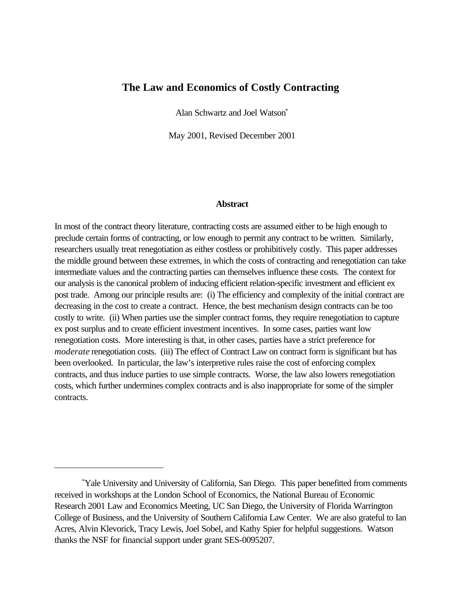# **The Law and Economics of Costly Contracting**

Alan Schwartz and Joel Watson\*

May 2001, Revised December 2001

#### **Abstract**

In most of the contract theory literature, contracting costs are assumed either to be high enough to preclude certain forms of contracting, or low enough to permit any contract to be written. Similarly, researchers usually treat renegotiation as either costless or prohibitively costly. This paper addresses the middle ground between these extremes, in which the costs of contracting and renegotiation can take intermediate values and the contracting parties can themselves influence these costs. The context for our analysis is the canonical problem of inducing efficient relation-specific investment and efficient ex post trade. Among our principle results are: (i) The efficiency and complexity of the initial contract are decreasing in the cost to create a contract. Hence, the best mechanism design contracts can be too costly to write. (ii) When parties use the simpler contract forms, they require renegotiation to capture ex post surplus and to create efficient investment incentives. In some cases, parties want low renegotiation costs. More interesting is that, in other cases, parties have a strict preference for *moderate* renegotiation costs. (iii) The effect of Contract Law on contract form is significant but has been overlooked. In particular, the law's interpretive rules raise the cost of enforcing complex contracts, and thus induce parties to use simple contracts. Worse, the law also lowers renegotiation costs, which further undermines complex contracts and is also inappropriate for some of the simpler contracts.

<sup>\*</sup>Yale University and University of California, San Diego. This paper benefitted from comments received in workshops at the London School of Economics, the National Bureau of Economic Research 2001 Law and Economics Meeting, UC San Diego, the University of Florida Warrington College of Business, and the University of Southern California Law Center. We are also grateful to Ian Acres, Alvin Klevorick, Tracy Lewis, Joel Sobel, and Kathy Spier for helpful suggestions. Watson thanks the NSF for financial support under grant SES-0095207.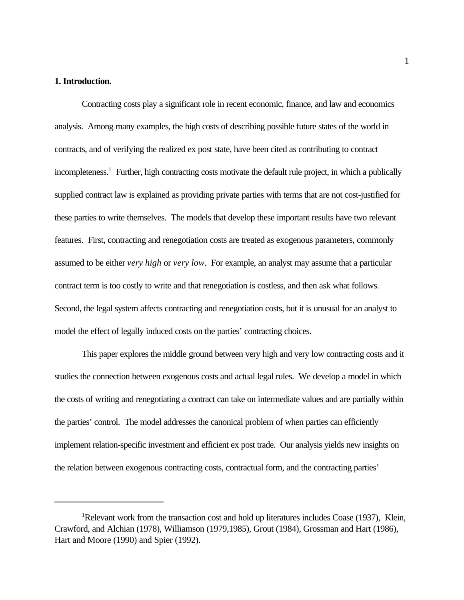## **1. Introduction.**

Contracting costs play a significant role in recent economic, finance, and law and economics analysis. Among many examples, the high costs of describing possible future states of the world in contracts, and of verifying the realized ex post state, have been cited as contributing to contract incompleteness.<sup>1</sup> Further, high contracting costs motivate the default rule project, in which a publically supplied contract law is explained as providing private parties with terms that are not cost-justified for these parties to write themselves. The models that develop these important results have two relevant features. First, contracting and renegotiation costs are treated as exogenous parameters, commonly assumed to be either *very high* or *very low*. For example, an analyst may assume that a particular contract term is too costly to write and that renegotiation is costless, and then ask what follows. Second, the legal system affects contracting and renegotiation costs, but it is unusual for an analyst to model the effect of legally induced costs on the parties' contracting choices.

This paper explores the middle ground between very high and very low contracting costs and it studies the connection between exogenous costs and actual legal rules. We develop a model in which the costs of writing and renegotiating a contract can take on intermediate values and are partially within the parties' control. The model addresses the canonical problem of when parties can efficiently implement relation-specific investment and efficient ex post trade. Our analysis yields new insights on the relation between exogenous contracting costs, contractual form, and the contracting parties'

<sup>&</sup>lt;sup>1</sup>Relevant work from the transaction cost and hold up literatures includes Coase (1937), Klein, Crawford, and Alchian (1978), Williamson (1979,1985), Grout (1984), Grossman and Hart (1986), Hart and Moore (1990) and Spier (1992).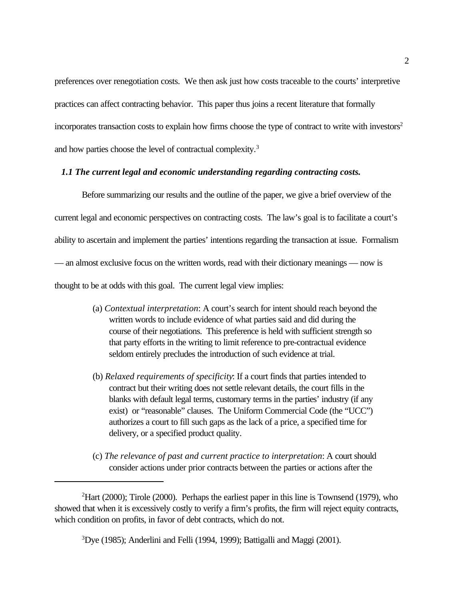preferences over renegotiation costs. We then ask just how costs traceable to the courts' interpretive practices can affect contracting behavior. This paper thus joins a recent literature that formally incorporates transaction costs to explain how firms choose the type of contract to write with investors<sup>2</sup> and how parties choose the level of contractual complexity.<sup>3</sup>

## *1.1 The current legal and economic understanding regarding contracting costs.*

Before summarizing our results and the outline of the paper, we give a brief overview of the current legal and economic perspectives on contracting costs. The law's goal is to facilitate a court's ability to ascertain and implement the parties' intentions regarding the transaction at issue. Formalism — an almost exclusive focus on the written words, read with their dictionary meanings — now is thought to be at odds with this goal. The current legal view implies:

- (a) *Contextual interpretation*: A court's search for intent should reach beyond the written words to include evidence of what parties said and did during the course of their negotiations. This preference is held with sufficient strength so that party efforts in the writing to limit reference to pre-contractual evidence seldom entirely precludes the introduction of such evidence at trial.
- (b) *Relaxed requirements of specificity*: If a court finds that parties intended to contract but their writing does not settle relevant details, the court fills in the blanks with default legal terms, customary terms in the parties' industry (if any exist) or "reasonable" clauses. The Uniform Commercial Code (the "UCC") authorizes a court to fill such gaps as the lack of a price, a specified time for delivery, or a specified product quality.
- (c) *The relevance of past and current practice to interpretation*: A court should consider actions under prior contracts between the parties or actions after the

 $^{2}$ Hart (2000); Tirole (2000). Perhaps the earliest paper in this line is Townsend (1979), who showed that when it is excessively costly to verify a firm's profits, the firm will reject equity contracts, which condition on profits, in favor of debt contracts, which do not.

 $3$ Dye (1985); Anderlini and Felli (1994, 1999); Battigalli and Maggi (2001).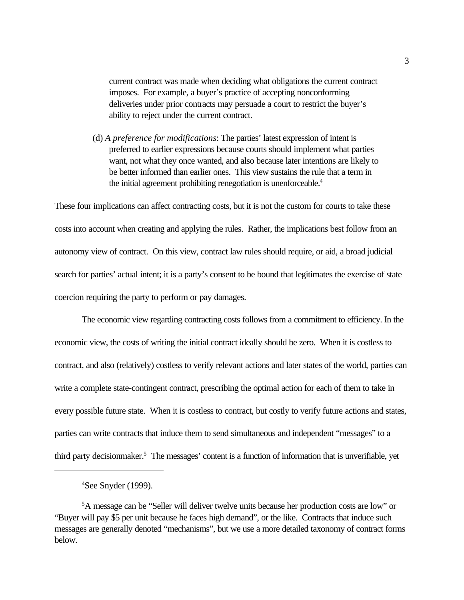current contract was made when deciding what obligations the current contract imposes. For example, a buyer's practice of accepting nonconforming deliveries under prior contracts may persuade a court to restrict the buyer's ability to reject under the current contract.

(d) *A preference for modifications*: The parties' latest expression of intent is preferred to earlier expressions because courts should implement what parties want, not what they once wanted, and also because later intentions are likely to be better informed than earlier ones. This view sustains the rule that a term in the initial agreement prohibiting renegotiation is unenforceable.<sup>4</sup>

These four implications can affect contracting costs, but it is not the custom for courts to take these costs into account when creating and applying the rules. Rather, the implications best follow from an autonomy view of contract. On this view, contract law rules should require, or aid, a broad judicial search for parties' actual intent; it is a party's consent to be bound that legitimates the exercise of state coercion requiring the party to perform or pay damages.

The economic view regarding contracting costs follows from a commitment to efficiency. In the economic view, the costs of writing the initial contract ideally should be zero. When it is costless to contract, and also (relatively) costless to verify relevant actions and later states of the world, parties can write a complete state-contingent contract, prescribing the optimal action for each of them to take in every possible future state. When it is costless to contract, but costly to verify future actions and states, parties can write contracts that induce them to send simultaneous and independent "messages" to a third party decisionmaker.<sup>5</sup> The messages' content is a function of information that is unverifiable, yet

<sup>4</sup>See Snyder (1999).

<sup>5</sup>A message can be "Seller will deliver twelve units because her production costs are low" or "Buyer will pay \$5 per unit because he faces high demand", or the like. Contracts that induce such messages are generally denoted "mechanisms", but we use a more detailed taxonomy of contract forms below.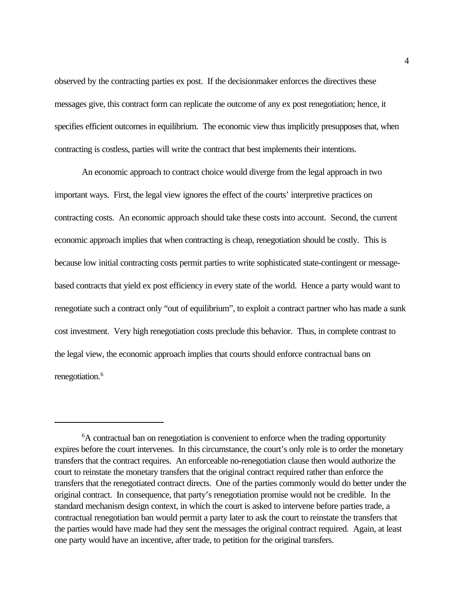observed by the contracting parties ex post. If the decisionmaker enforces the directives these messages give, this contract form can replicate the outcome of any ex post renegotiation; hence, it specifies efficient outcomes in equilibrium. The economic view thus implicitly presupposes that, when contracting is costless, parties will write the contract that best implements their intentions.

An economic approach to contract choice would diverge from the legal approach in two important ways. First, the legal view ignores the effect of the courts' interpretive practices on contracting costs. An economic approach should take these costs into account. Second, the current economic approach implies that when contracting is cheap, renegotiation should be costly. This is because low initial contracting costs permit parties to write sophisticated state-contingent or messagebased contracts that yield ex post efficiency in every state of the world. Hence a party would want to renegotiate such a contract only "out of equilibrium", to exploit a contract partner who has made a sunk cost investment. Very high renegotiation costs preclude this behavior. Thus, in complete contrast to the legal view, the economic approach implies that courts should enforce contractual bans on renegotiation.<sup>6</sup>

<sup>&</sup>lt;sup>6</sup>A contractual ban on renegotiation is convenient to enforce when the trading opportunity expires before the court intervenes. In this circumstance, the court's only role is to order the monetary transfers that the contract requires. An enforceable no-renegotiation clause then would authorize the court to reinstate the monetary transfers that the original contract required rather than enforce the transfers that the renegotiated contract directs. One of the parties commonly would do better under the original contract. In consequence, that party's renegotiation promise would not be credible. In the standard mechanism design context, in which the court is asked to intervene before parties trade, a contractual renegotiation ban would permit a party later to ask the court to reinstate the transfers that the parties would have made had they sent the messages the original contract required. Again, at least one party would have an incentive, after trade, to petition for the original transfers.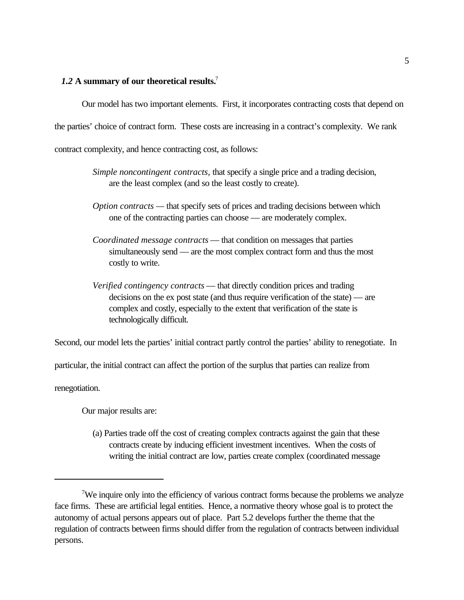# *1.2* **A summary of our theoretical results.**<sup>7</sup>

Our model has two important elements. First, it incorporates contracting costs that depend on the parties' choice of contract form. These costs are increasing in a contract's complexity. We rank contract complexity, and hence contracting cost, as follows:

- *Simple noncontingent contracts,* that specify a single price and a trading decision, are the least complex (and so the least costly to create).
- *Option contracts* that specify sets of prices and trading decisions between which one of the contracting parties can choose — are moderately complex.
- *Coordinated message contracts* that condition on messages that parties simultaneously send — are the most complex contract form and thus the most costly to write.
- *Verified contingency contracts* that directly condition prices and trading decisions on the ex post state (and thus require verification of the state) — are complex and costly, especially to the extent that verification of the state is technologically difficult.

Second, our model lets the parties' initial contract partly control the parties' ability to renegotiate. In

particular, the initial contract can affect the portion of the surplus that parties can realize from

renegotiation.

Our major results are:

(a) Parties trade off the cost of creating complex contracts against the gain that these contracts create by inducing efficient investment incentives. When the costs of writing the initial contract are low, parties create complex (coordinated message

<sup>&</sup>lt;sup>7</sup>We inquire only into the efficiency of various contract forms because the problems we analyze face firms. These are artificial legal entities. Hence, a normative theory whose goal is to protect the autonomy of actual persons appears out of place. Part 5.2 develops further the theme that the regulation of contracts between firms should differ from the regulation of contracts between individual persons.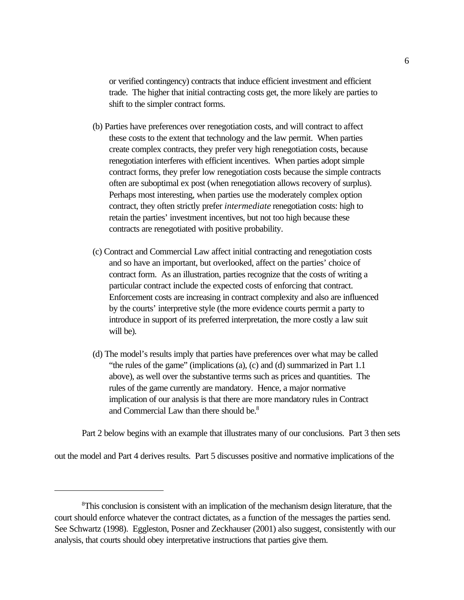or verified contingency) contracts that induce efficient investment and efficient trade. The higher that initial contracting costs get, the more likely are parties to shift to the simpler contract forms.

- (b) Parties have preferences over renegotiation costs, and will contract to affect these costs to the extent that technology and the law permit. When parties create complex contracts, they prefer very high renegotiation costs, because renegotiation interferes with efficient incentives. When parties adopt simple contract forms, they prefer low renegotiation costs because the simple contracts often are suboptimal ex post (when renegotiation allows recovery of surplus). Perhaps most interesting, when parties use the moderately complex option contract, they often strictly prefer *intermediate* renegotiation costs: high to retain the parties' investment incentives, but not too high because these contracts are renegotiated with positive probability.
- (c) Contract and Commercial Law affect initial contracting and renegotiation costs and so have an important, but overlooked, affect on the parties' choice of contract form. As an illustration, parties recognize that the costs of writing a particular contract include the expected costs of enforcing that contract. Enforcement costs are increasing in contract complexity and also are influenced by the courts' interpretive style (the more evidence courts permit a party to introduce in support of its preferred interpretation, the more costly a law suit will be).
- (d) The model's results imply that parties have preferences over what may be called "the rules of the game" (implications (a), (c) and (d) summarized in Part 1.1 above), as well over the substantive terms such as prices and quantities. The rules of the game currently are mandatory. Hence, a major normative implication of our analysis is that there are more mandatory rules in Contract and Commercial Law than there should be.<sup>8</sup>

Part 2 below begins with an example that illustrates many of our conclusions. Part 3 then sets

out the model and Part 4 derives results. Part 5 discusses positive and normative implications of the

<sup>&</sup>lt;sup>8</sup>This conclusion is consistent with an implication of the mechanism design literature, that the court should enforce whatever the contract dictates, as a function of the messages the parties send. See Schwartz (1998). Eggleston, Posner and Zeckhauser (2001) also suggest, consistently with our analysis, that courts should obey interpretative instructions that parties give them.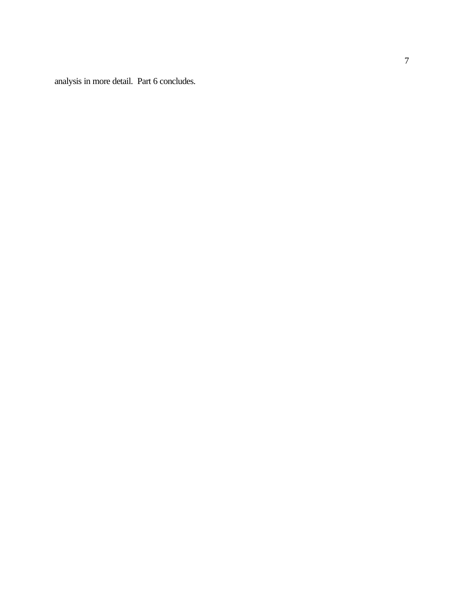analysis in more detail. Part 6 concludes.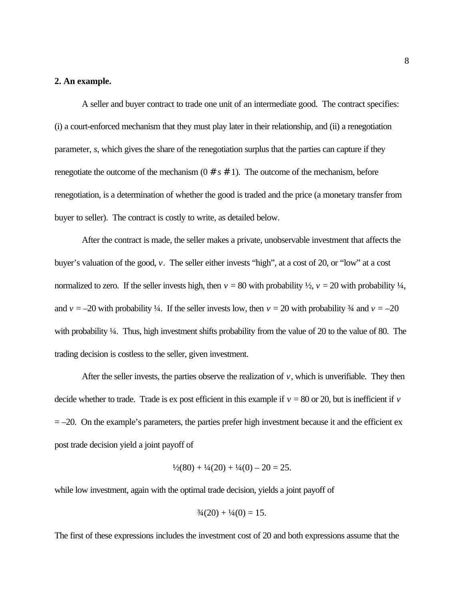### **2. An example.**

A seller and buyer contract to trade one unit of an intermediate good. The contract specifies: (i) a court-enforced mechanism that they must play later in their relationship, and (ii) a renegotiation parameter, *s*, which gives the share of the renegotiation surplus that the parties can capture if they renegotiate the outcome of the mechanism  $(0 \# s \# 1)$ . The outcome of the mechanism, before renegotiation, is a determination of whether the good is traded and the price (a monetary transfer from buyer to seller). The contract is costly to write, as detailed below.

After the contract is made, the seller makes a private, unobservable investment that affects the buyer's valuation of the good, *v*. The seller either invests "high", at a cost of 20, or "low" at a cost normalized to zero. If the seller invests high, then  $v = 80$  with probability  $\frac{1}{2}$ ,  $v = 20$  with probability  $\frac{1}{4}$ , and  $v = -20$  with probability ¼. If the seller invests low, then  $v = 20$  with probability ¼ and  $v = -20$ with probability <sup>1</sup>/4. Thus, high investment shifts probability from the value of 20 to the value of 80. The trading decision is costless to the seller, given investment.

After the seller invests, the parties observe the realization of  $v$ , which is unverifiable. They then decide whether to trade. Trade is ex post efficient in this example if  $v = 80$  or 20, but is inefficient if  $v = 80$  $= -20$ . On the example's parameters, the parties prefer high investment because it and the efficient ex post trade decision yield a joint payoff of

$$
\frac{1}{2}(80) + \frac{1}{4}(20) + \frac{1}{4}(0) - 20 = 25.
$$

while low investment, again with the optimal trade decision, yields a joint payoff of

$$
\frac{3}{4}(20) + \frac{1}{4}(0) = 15.
$$

The first of these expressions includes the investment cost of 20 and both expressions assume that the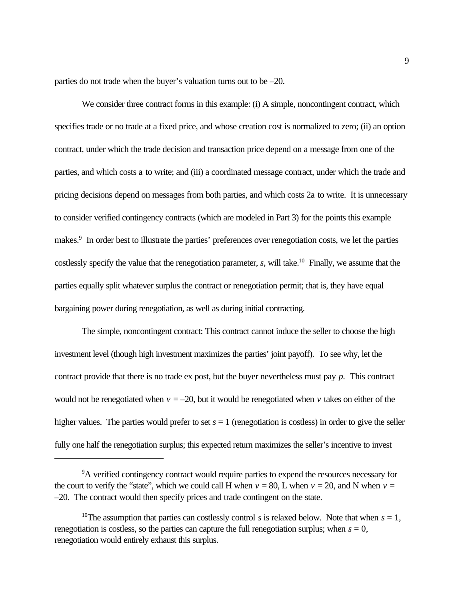parties do not trade when the buyer's valuation turns out to be –20.

We consider three contract forms in this example: (i) A simple, noncontingent contract, which specifies trade or no trade at a fixed price, and whose creation cost is normalized to zero; (ii) an option contract, under which the trade decision and transaction price depend on a message from one of the parties, and which costs a to write; and (iii) a coordinated message contract, under which the trade and pricing decisions depend on messages from both parties, and which costs 2a to write. It is unnecessary to consider verified contingency contracts (which are modeled in Part 3) for the points this example makes.<sup>9</sup> In order best to illustrate the parties' preferences over renegotiation costs, we let the parties costlessly specify the value that the renegotiation parameter, *s*, will take.<sup>10</sup> Finally, we assume that the parties equally split whatever surplus the contract or renegotiation permit; that is, they have equal bargaining power during renegotiation, as well as during initial contracting.

The simple, noncontingent contract: This contract cannot induce the seller to choose the high investment level (though high investment maximizes the parties' joint payoff). To see why, let the contract provide that there is no trade ex post, but the buyer nevertheless must pay *p.* This contract would not be renegotiated when  $v = -20$ , but it would be renegotiated when  $v$  takes on either of the higher values. The parties would prefer to set  $s = 1$  (renegotiation is costless) in order to give the seller fully one half the renegotiation surplus; this expected return maximizes the seller's incentive to invest

<sup>&</sup>lt;sup>9</sup>A verified contingency contract would require parties to expend the resources necessary for the court to verify the "state", which we could call H when  $v = 80$ , L when  $v = 20$ , and N when  $v =$ –20. The contract would then specify prices and trade contingent on the state.

<sup>&</sup>lt;sup>10</sup>The assumption that parties can costlessly control *s* is relaxed below. Note that when  $s = 1$ , renegotiation is costless, so the parties can capture the full renegotiation surplus; when  $s = 0$ , renegotiation would entirely exhaust this surplus.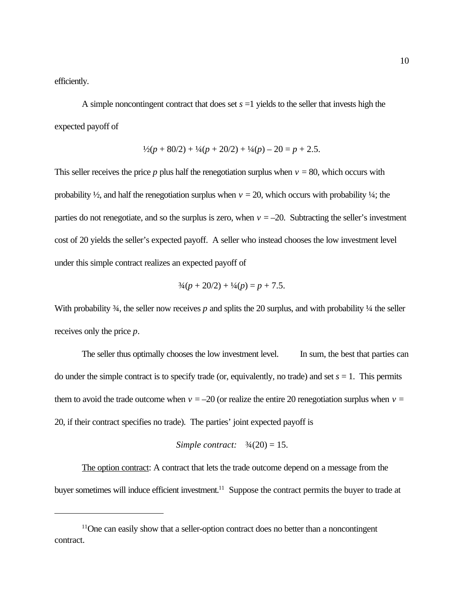efficiently.

A simple noncontingent contract that does set  $s = 1$  yields to the seller that invests high the expected payoff of

$$
\frac{1}{2}(p+80/2) + \frac{1}{4}(p+20/2) + \frac{1}{4}(p) - 20 = p + 2.5
$$

This seller receives the price  $p$  plus half the renegotiation surplus when  $v = 80$ , which occurs with probability  $\frac{1}{2}$ , and half the renegotiation surplus when  $v = 20$ , which occurs with probability  $\frac{1}{4}$ ; the parties do not renegotiate, and so the surplus is zero, when  $v = -20$ . Subtracting the seller's investment cost of 20 yields the seller's expected payoff. A seller who instead chooses the low investment level under this simple contract realizes an expected payoff of

$$
\frac{3}{4}(p+20/2) + \frac{1}{4}(p) = p + 7.5.
$$

With probability  $\frac{3}{4}$ , the seller now receives p and splits the 20 surplus, and with probability  $\frac{1}{4}$  the seller receives only the price *p*.

The seller thus optimally chooses the low investment level. In sum, the best that parties can do under the simple contract is to specify trade (or, equivalently, no trade) and set  $s = 1$ . This permits them to avoid the trade outcome when  $v = -20$  (or realize the entire 20 renegotiation surplus when  $v =$ 20, if their contract specifies no trade). The parties' joint expected payoff is

Simple contract: 
$$
\frac{3}{4}(20) = 15
$$
.

The option contract: A contract that lets the trade outcome depend on a message from the buyer sometimes will induce efficient investment.<sup>11</sup> Suppose the contract permits the buyer to trade at

<sup>&</sup>lt;sup>11</sup>One can easily show that a seller-option contract does no better than a noncontingent contract.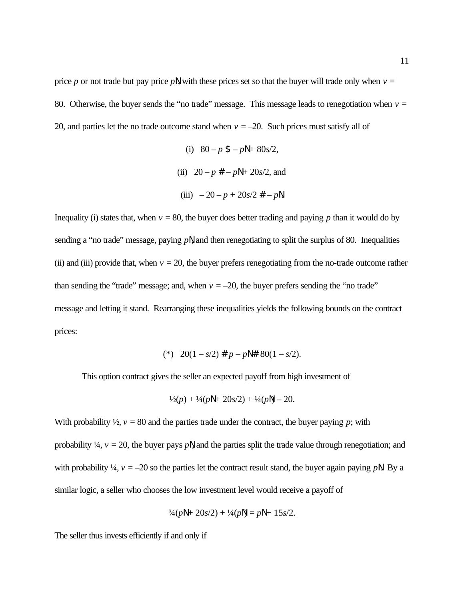price *p* or not trade but pay price *p*N, with these prices set so that the buyer will trade only when  $v =$ 80. Otherwise, the buyer sends the "no trade" message. This message leads to renegotiation when  $v =$ 20, and parties let the no trade outcome stand when  $v = -20$ . Such prices must satisfy all of

(i) 
$$
80 - p \$ - p\mathbb{N} + 80s/2
$$
,  
\n(ii)  $20 - p \# - p\mathbb{N} + 20s/2$ , and  
\n(iii)  $-20 - p + 20s/2 \# - p\mathbb{N}$ .

Inequality (i) states that, when  $v = 80$ , the buyer does better trading and paying *p* than it would do by sending a "no trade" message, paying *p*N, and then renegotiating to split the surplus of 80. Inequalities (ii) and (iii) provide that, when  $v = 20$ , the buyer prefers renegotiating from the no-trade outcome rather than sending the "trade" message; and, when  $v = -20$ , the buyer prefers sending the "no trade" message and letting it stand. Rearranging these inequalities yields the following bounds on the contract prices:

(\*) 
$$
20(1 - s/2) \# p - p \parallel \# 80(1 - s/2)
$$
.

This option contract gives the seller an expected payoff from high investment of

$$
\frac{1}{2}(p) + \frac{1}{4}(p\mathbb{N} + 20s/2) + \frac{1}{4}(p\mathbb{N}) - 20.
$$

With probability  $\frac{1}{2}$ ,  $v = 80$  and the parties trade under the contract, the buyer paying *p*; with

probability  $\frac{1}{4}$ ,  $v = 20$ , the buyer pays *p*N, and the parties split the trade value through renegotiation; and with probability  $\frac{1}{4}$ ,  $v = -20$  so the parties let the contract result stand, the buyer again paying pN. By a similar logic, a seller who chooses the low investment level would receive a payoff of

$$
\frac{3}{4}(p\mathbb{N} + 20s/2) + \frac{1}{4}(p\mathbb{N}) = p\mathbb{N} + 15s/2.
$$

The seller thus invests efficiently if and only if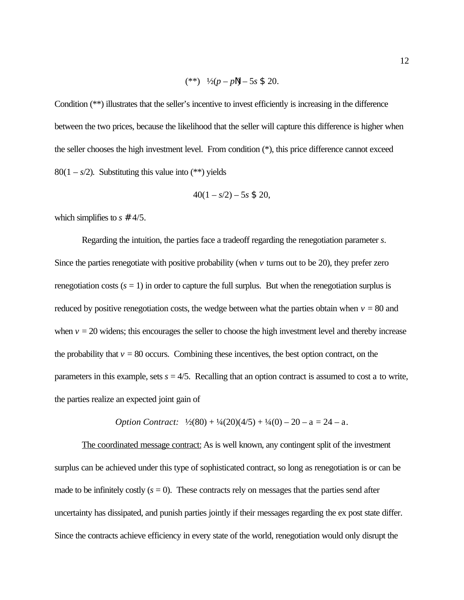$$
(**) \quad \frac{1}{2}(p-p\|) - 5s \; \$ \; 20.
$$

Condition (\*\*) illustrates that the seller's incentive to invest efficiently is increasing in the difference between the two prices, because the likelihood that the seller will capture this difference is higher when the seller chooses the high investment level. From condition (\*), this price difference cannot exceed 80(1 –  $s/2$ ). Substituting this value into (\*\*) yields

$$
40(1 - s/2) - 5s \; \$ \; 20,
$$

which simplifies to *s* # 4/5.

Regarding the intuition, the parties face a tradeoff regarding the renegotiation parameter *s*. Since the parties renegotiate with positive probability (when  $\nu$  turns out to be 20), they prefer zero renegotiation costs  $(s = 1)$  in order to capture the full surplus. But when the renegotiation surplus is reduced by positive renegotiation costs, the wedge between what the parties obtain when  $v = 80$  and when  $v = 20$  widens; this encourages the seller to choose the high investment level and thereby increase the probability that  $v = 80$  occurs. Combining these incentives, the best option contract, on the parameters in this example, sets  $s = 4/5$ . Recalling that an option contract is assumed to cost a to write, the parties realize an expected joint gain of

*Option Contract:* 
$$
\frac{1}{2}(80) + \frac{1}{4}(20)(4/5) + \frac{1}{4}(0) - 20 - a = 24 - a
$$
.

The coordinated message contract: As is well known, any contingent split of the investment surplus can be achieved under this type of sophisticated contract, so long as renegotiation is or can be made to be infinitely costly  $(s = 0)$ . These contracts rely on messages that the parties send after uncertainty has dissipated, and punish parties jointly if their messages regarding the ex post state differ. Since the contracts achieve efficiency in every state of the world, renegotiation would only disrupt the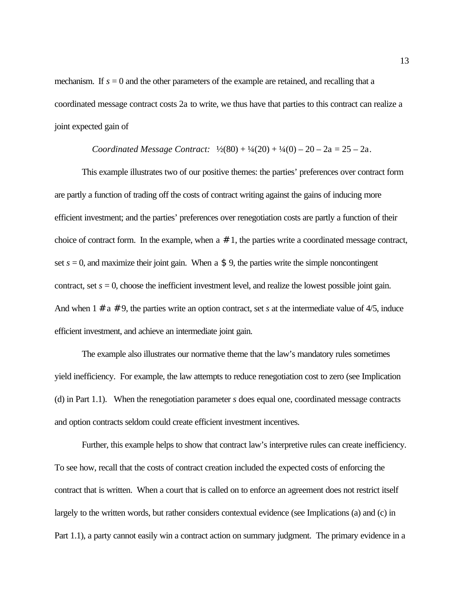mechanism. If  $s = 0$  and the other parameters of the example are retained, and recalling that a coordinated message contract costs 2a to write, we thus have that parties to this contract can realize a joint expected gain of

#### *Coordinated Message Contract:*  $\frac{1}{2}(80) + \frac{1}{4}(20) + \frac{1}{4}(0) - 20 - 2a = 25 - 2a$ .

This example illustrates two of our positive themes: the parties' preferences over contract form are partly a function of trading off the costs of contract writing against the gains of inducing more efficient investment; and the parties' preferences over renegotiation costs are partly a function of their choice of contract form. In the example, when  $a \# 1$ , the parties write a coordinated message contract, set  $s = 0$ , and maximize their joint gain. When a \$ 9, the parties write the simple noncontingent contract, set  $s = 0$ , choose the inefficient investment level, and realize the lowest possible joint gain. And when  $1 \# a \# 9$ , the parties write an option contract, set *s* at the intermediate value of 4/5, induce efficient investment, and achieve an intermediate joint gain.

The example also illustrates our normative theme that the law's mandatory rules sometimes yield inefficiency. For example, the law attempts to reduce renegotiation cost to zero (see Implication (d) in Part 1.1). When the renegotiation parameter *s* does equal one, coordinated message contracts and option contracts seldom could create efficient investment incentives.

Further, this example helps to show that contract law's interpretive rules can create inefficiency. To see how, recall that the costs of contract creation included the expected costs of enforcing the contract that is written. When a court that is called on to enforce an agreement does not restrict itself largely to the written words, but rather considers contextual evidence (see Implications (a) and (c) in Part 1.1), a party cannot easily win a contract action on summary judgment. The primary evidence in a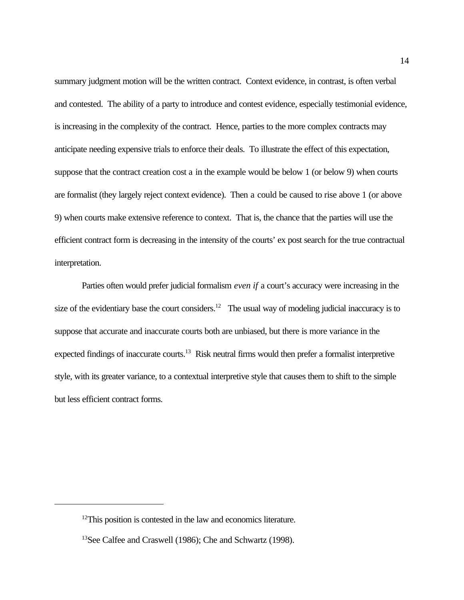summary judgment motion will be the written contract. Context evidence, in contrast, is often verbal and contested. The ability of a party to introduce and contest evidence, especially testimonial evidence, is increasing in the complexity of the contract. Hence, parties to the more complex contracts may anticipate needing expensive trials to enforce their deals. To illustrate the effect of this expectation, suppose that the contract creation cost a in the example would be below 1 (or below 9) when courts are formalist (they largely reject context evidence). Then a could be caused to rise above 1 (or above 9) when courts make extensive reference to context. That is, the chance that the parties will use the efficient contract form is decreasing in the intensity of the courts' ex post search for the true contractual interpretation.

Parties often would prefer judicial formalism *even if* a court's accuracy were increasing in the size of the evidentiary base the court considers.<sup>12</sup> The usual way of modeling judicial inaccuracy is to suppose that accurate and inaccurate courts both are unbiased, but there is more variance in the expected findings of inaccurate courts.<sup>13</sup> Risk neutral firms would then prefer a formalist interpretive style, with its greater variance, to a contextual interpretive style that causes them to shift to the simple but less efficient contract forms.

<sup>&</sup>lt;sup>12</sup>This position is contested in the law and economics literature.

<sup>13</sup>See Calfee and Craswell (1986); Che and Schwartz (1998).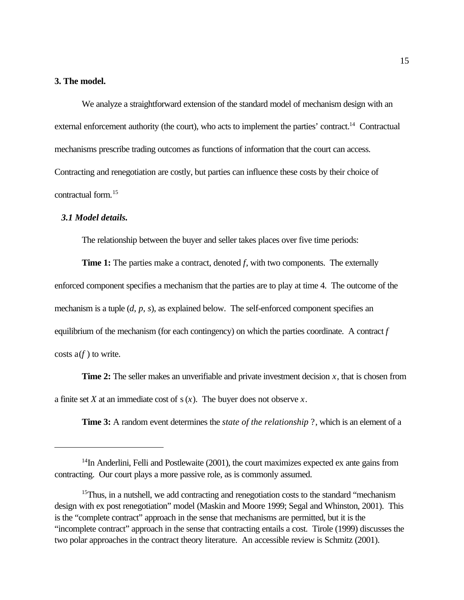## **3. The model.**

We analyze a straightforward extension of the standard model of mechanism design with an external enforcement authority (the court), who acts to implement the parties' contract.<sup>14</sup> Contractual mechanisms prescribe trading outcomes as functions of information that the court can access. Contracting and renegotiation are costly, but parties can influence these costs by their choice of contractual form.<sup>15</sup>

## *3.1 Model details.*

The relationship between the buyer and seller takes places over five time periods:

**Time 1:** The parties make a contract, denoted *f*, with two components. The externally enforced component specifies a mechanism that the parties are to play at time 4. The outcome of the mechanism is a tuple (*d*, *p*, *s*), as explained below. The self-enforced component specifies an equilibrium of the mechanism (for each contingency) on which the parties coordinate. A contract *f* costs  $a(f)$  to write.

**Time 2:** The seller makes an unverifiable and private investment decision x, that is chosen from a finite set *X* at an immediate cost of s(*x*). The buyer does not observe *x*.

**Time 3:** A random event determines the *state of the relationship* ?, which is an element of a

 $14$ In Anderlini, Felli and Postlewaite (2001), the court maximizes expected ex ante gains from contracting. Our court plays a more passive role, as is commonly assumed.

<sup>&</sup>lt;sup>15</sup>Thus, in a nutshell, we add contracting and renegotiation costs to the standard "mechanism" design with ex post renegotiation" model (Maskin and Moore 1999; Segal and Whinston, 2001). This is the "complete contract" approach in the sense that mechanisms are permitted, but it is the "incomplete contract" approach in the sense that contracting entails a cost. Tirole (1999) discusses the two polar approaches in the contract theory literature. An accessible review is Schmitz (2001).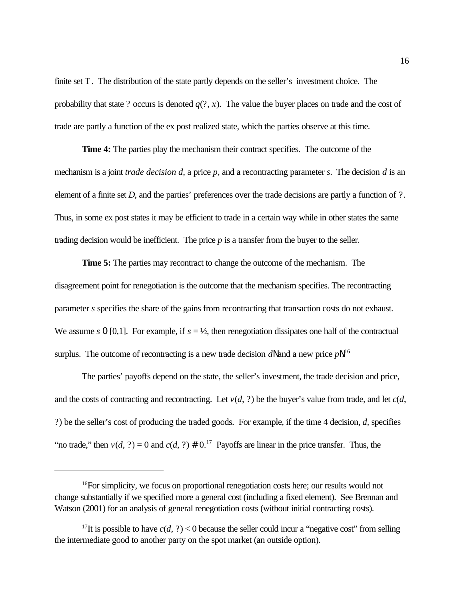finite set T. The distribution of the state partly depends on the seller's investment choice. The probability that state ? occurs is denoted  $q(?, x)$ . The value the buyer places on trade and the cost of trade are partly a function of the ex post realized state, which the parties observe at this time.

**Time 4:** The parties play the mechanism their contract specifies. The outcome of the mechanism is a joint *trade decision d*, a price *p*, and a recontracting parameter *s*. The decision *d* is an element of a finite set *D*, and the parties' preferences over the trade decisions are partly a function of ?. Thus, in some ex post states it may be efficient to trade in a certain way while in other states the same trading decision would be inefficient. The price *p* is a transfer from the buyer to the seller.

**Time 5:** The parties may recontract to change the outcome of the mechanism. The disagreement point for renegotiation is the outcome that the mechanism specifies. The recontracting parameter *s* specifies the share of the gains from recontracting that transaction costs do not exhaust. We assume *s* 0 [0,1]. For example, if  $s = \frac{1}{2}$ , then renegotiation dissipates one half of the contractual surplus. The outcome of recontracting is a new trade decision dN and a new price pN.<sup>16</sup>

The parties' payoffs depend on the state, the seller's investment, the trade decision and price, and the costs of contracting and recontracting. Let  $v(d, ?)$  be the buyer's value from trade, and let  $c(d, ?)$ ?) be the seller's cost of producing the traded goods. For example, if the time 4 decision, *d*, specifies "no trade," then  $v(d, ?) = 0$  and  $c(d, ?) \neq 0.17$  Payoffs are linear in the price transfer. Thus, the

<sup>&</sup>lt;sup>16</sup>For simplicity, we focus on proportional renegotiation costs here; our results would not change substantially if we specified more a general cost (including a fixed element). See Brennan and Watson (2001) for an analysis of general renegotiation costs (without initial contracting costs).

<sup>&</sup>lt;sup>17</sup>It is possible to have  $c(d, ?) < 0$  because the seller could incur a "negative cost" from selling the intermediate good to another party on the spot market (an outside option).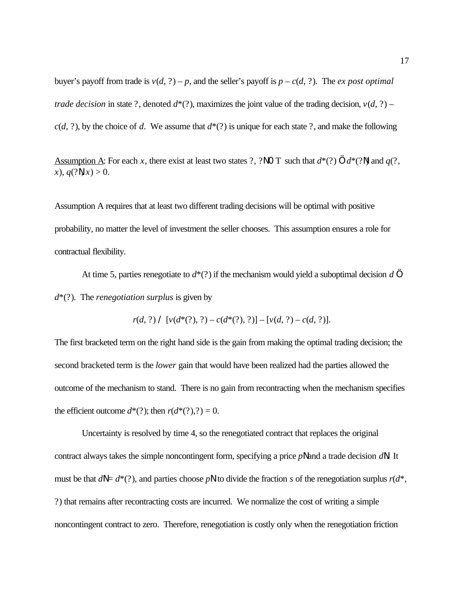buyer's payoff from trade is  $v(d, ?) - p$ , and the seller's payoff is  $p - c(d, ?)$ . The *ex post optimal trade decision* in state ?, denoted  $d^*(?)$ , maximizes the joint value of the trading decision,  $v(d, ?)$  –  $c(d, ?)$ , by the choice of *d*. We assume that  $d^*(?)$  is unique for each state ?, and make the following

Assumption A: For each *x*, there exist at least two states ?, ?NO T such that  $d^*(?)$  ...  $d^*(?N)$  and  $q(?,$ *x*),  $q(\text{?N}, x) > 0$ .

Assumption A requires that at least two different trading decisions will be optimal with positive probability, no matter the level of investment the seller chooses. This assumption ensures a role for contractual flexibility.

At time 5, parties renegotiate to *d*\*(?) if the mechanism would yield a suboptimal decision *d* … *d*\*(?). The *renegotiation surplus* is given by

 $r(d, ?)$  /  $[v(d^*(?), ?) - c(d^*(?), ?)] - [v(d, ?) - c(d, ?)].$ 

The first bracketed term on the right hand side is the gain from making the optimal trading decision; the second bracketed term is the *lower* gain that would have been realized had the parties allowed the outcome of the mechanism to stand. There is no gain from recontracting when the mechanism specifies the efficient outcome  $d^*(?)$ ; then  $r(d^*(?)?) = 0$ .

Uncertainty is resolved by time 4, so the renegotiated contract that replaces the original contract always takes the simple noncontingent form, specifying a price *pN* and a trade decision *dN*. It must be that  $dN = d^*(?)$ , and parties choose *p*N to divide the fraction *s* of the renegotiation surplus  $r(d^*,$ ?) that remains after recontracting costs are incurred. We normalize the cost of writing a simple noncontingent contract to zero. Therefore, renegotiation is costly only when the renegotiation friction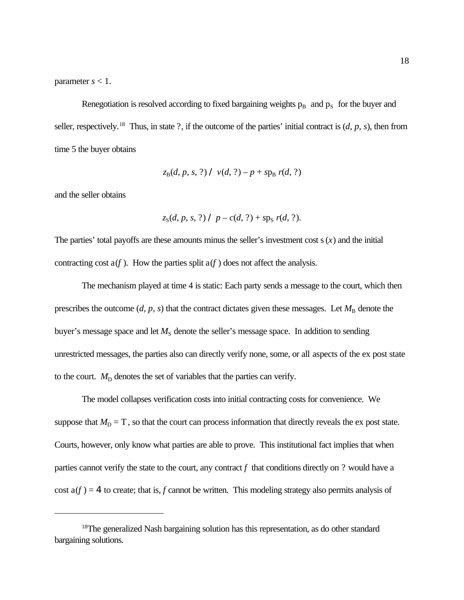parameter  $s < 1$ .

Renegotiation is resolved according to fixed bargaining weights  $p_B$  and  $p_S$  for the buyer and seller, respectively.<sup>18</sup> Thus, in state ?, if the outcome of the parties' initial contract is  $(d, p, s)$ , then from time 5 the buyer obtains

$$
z_B(d, p, s, ?) / v(d, ?) - p + sp_B r(d, ?)
$$

and the seller obtains

$$
z_S(d, p, s, ?) / p - c(d, ?) + sp_S r(d, ?).
$$

The parties' total payoffs are these amounts minus the seller's investment cost  $s(x)$  and the initial contracting cost  $a(f)$ . How the parties split  $a(f)$  does not affect the analysis.

The mechanism played at time 4 is static: Each party sends a message to the court, which then prescribes the outcome  $(d, p, s)$  that the contract dictates given these messages. Let  $M_B$  denote the buyer's message space and let  $M<sub>S</sub>$  denote the seller's message space. In addition to sending unrestricted messages, the parties also can directly verify none, some, or all aspects of the ex post state to the court.  $M<sub>D</sub>$  denotes the set of variables that the parties can verify.

The model collapses verification costs into initial contracting costs for convenience. We suppose that  $M_D = T$ , so that the court can process information that directly reveals the ex post state. Courts, however, only know what parties are able to prove. This institutional fact implies that when parties cannot verify the state to the court, any contract *f* that conditions directly on ? would have a cost  $a(f) = 4$  to create; that is, *f* cannot be written. This modeling strategy also permits analysis of

<sup>&</sup>lt;sup>18</sup>The generalized Nash bargaining solution has this representation, as do other standard bargaining solutions.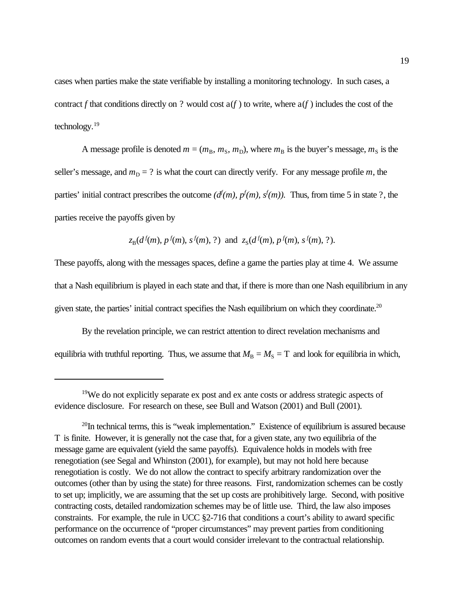cases when parties make the state verifiable by installing a monitoring technology. In such cases, a contract *f* that conditions directly on ? would cost  $a(f)$  to write, where  $a(f)$  includes the cost of the technology.<sup>19</sup>

A message profile is denoted  $m = (m_B, m_S, m_D)$ , where  $m_B$  is the buyer's message,  $m_S$  is the seller's message, and  $m_D = ?$  is what the court can directly verify. For any message profile *m*, the parties' initial contract prescribes the outcome  $(d^f(m), p^f(m), s^f(m))$ . Thus, from time 5 in state ?, the parties receive the payoffs given by

$$
z_B(d^f(m), p^f(m), s^f(m), ?)
$$
 and  $z_S(d^f(m), p^f(m), s^f(m), ?)$ .

These payoffs, along with the messages spaces, define a game the parties play at time 4. We assume that a Nash equilibrium is played in each state and that, if there is more than one Nash equilibrium in any given state, the parties' initial contract specifies the Nash equilibrium on which they coordinate.<sup>20</sup>

By the revelation principle, we can restrict attention to direct revelation mechanisms and equilibria with truthful reporting. Thus, we assume that  $M_B = M_S = T$  and look for equilibria in which,

<sup>19</sup>We do not explicitly separate ex post and ex ante costs or address strategic aspects of evidence disclosure. For research on these, see Bull and Watson (2001) and Bull (2001).

 $^{20}$ In technical terms, this is "weak implementation." Existence of equilibrium is assured because T is finite. However, it is generally not the case that, for a given state, any two equilibria of the message game are equivalent (yield the same payoffs). Equivalence holds in models with free renegotiation (see Segal and Whinston (2001), for example), but may not hold here because renegotiation is costly. We do not allow the contract to specify arbitrary randomization over the outcomes (other than by using the state) for three reasons. First, randomization schemes can be costly to set up; implicitly, we are assuming that the set up costs are prohibitively large. Second, with positive contracting costs, detailed randomization schemes may be of little use. Third, the law also imposes constraints. For example, the rule in UCC §2-716 that conditions a court's ability to award specific performance on the occurrence of "proper circumstances" may prevent parties from conditioning outcomes on random events that a court would consider irrelevant to the contractual relationship.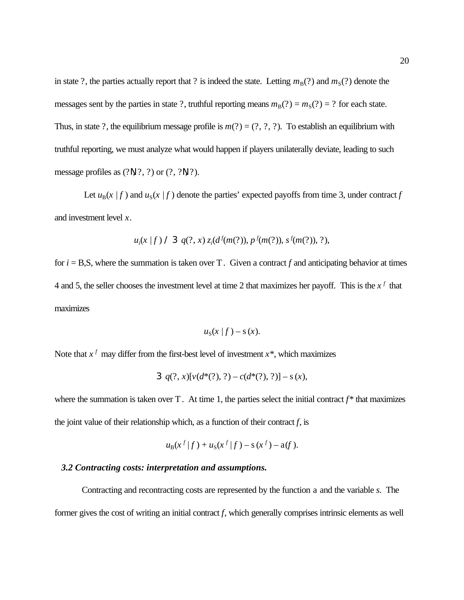in state ?, the parties actually report that ? is indeed the state. Letting  $m_B(?)$  and  $m_S(?)$  denote the messages sent by the parties in state ?, truthful reporting means  $m_B(?) = m_S(?) = ?$  for each state. Thus, in state ?, the equilibrium message profile is  $m(?) = (?, ?, ?)$ . To establish an equilibrium with truthful reporting, we must analyze what would happen if players unilaterally deviate, leading to such message profiles as  $(2\mathbb{N}, 2, 2)$  or  $(2, 2\mathbb{N}, 2)$ .

Let  $u_B(x | f)$  and  $u_S(x | f)$  denote the parties' expected payoffs from time 3, under contract *f* and investment level *x*.

$$
u_i(x | f) \land \exists q(?, x) z_i(d^f(m(?)), p^f(m(?)), s^f(m(?)), ?),
$$

for  $i = B.S$ , where the summation is taken over T. Given a contract f and anticipating behavior at times 4 and 5, the seller chooses the investment level at time 2 that maximizes her payoff. This is the  $x<sup>f</sup>$  that maximizes

$$
u_{\rm S}(x\mid f) - {\rm s}(x).
$$

Note that  $x^f$  may differ from the first-best level of investment  $x^*$ , which maximizes

3 
$$
q(?, x)[v(d^*(?), ?) - c(d^*(?), ?)] - s(x),
$$

where the summation is taken over  $T$ . At time 1, the parties select the initial contract  $f^*$  that maximizes the joint value of their relationship which, as a function of their contract  $f$ , is

$$
u_{B}(x^{f}|f) + u_{S}(x^{f}|f) - s(x^{f}) - a(f).
$$

## *3.2 Contracting costs: interpretation and assumptions.*

Contracting and recontracting costs are represented by the function a and the variable *s*. The former gives the cost of writing an initial contract *f*, which generally comprises intrinsic elements as well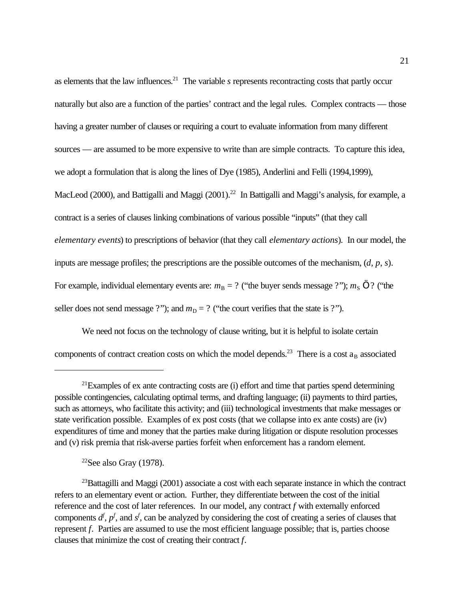as elements that the law influences.<sup>21</sup> The variable  $s$  represents recontracting costs that partly occur naturally but also are a function of the parties' contract and the legal rules. Complex contracts — those having a greater number of clauses or requiring a court to evaluate information from many different sources — are assumed to be more expensive to write than are simple contracts. To capture this idea, we adopt a formulation that is along the lines of Dye (1985), Anderlini and Felli (1994,1999), MacLeod (2000), and Battigalli and Maggi (2001).<sup>22</sup> In Battigalli and Maggi's analysis, for example, a contract is a series of clauses linking combinations of various possible "inputs" (that they call *elementary events*) to prescriptions of behavior (that they call *elementary actions*). In our model, the inputs are message profiles; the prescriptions are the possible outcomes of the mechanism, (*d*, *p*, *s*). For example, individual elementary events are:  $m_B = ?$  ("the buyer sends message ?");  $m_S$  ... ? ("the seller does not send message ?"); and  $m_D = ?$  ("the court verifies that the state is ?").

We need not focus on the technology of clause writing, but it is helpful to isolate certain components of contract creation costs on which the model depends.<sup>23</sup> There is a cost  $a_B$  associated

 $22$ See also Gray (1978).

 $21$ Examples of ex ante contracting costs are (i) effort and time that parties spend determining possible contingencies, calculating optimal terms, and drafting language; (ii) payments to third parties, such as attorneys, who facilitate this activity; and (iii) technological investments that make messages or state verification possible. Examples of ex post costs (that we collapse into ex ante costs) are (iv) expenditures of time and money that the parties make during litigation or dispute resolution processes and (v) risk premia that risk-averse parties forfeit when enforcement has a random element.

 $^{23}$ Battagilli and Maggi (2001) associate a cost with each separate instance in which the contract refers to an elementary event or action. Further, they differentiate between the cost of the initial reference and the cost of later references. In our model, any contract *f* with externally enforced components  $d^f$ ,  $p^f$ , and  $s^f$ , can be analyzed by considering the cost of creating a series of clauses that represent *f*. Parties are assumed to use the most efficient language possible; that is, parties choose clauses that minimize the cost of creating their contract *f*.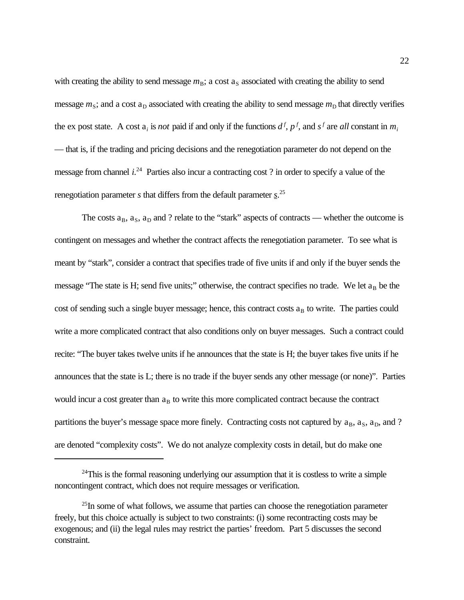with creating the ability to send message  $m<sub>B</sub>$ ; a cost  $a<sub>S</sub>$  associated with creating the ability to send message  $m_S$ ; and a cost  $a_D$  associated with creating the ability to send message  $m_D$  that directly verifies the ex post state. A cost  $a_i$  is *not* paid if and only if the functions  $d^f$ ,  $p^f$ , and  $s^f$  are *all* constant in  $m_i$ — that is, if the trading and pricing decisions and the renegotiation parameter do not depend on the message from channel *i*.<sup>24</sup> Parties also incur a contracting cost ? in order to specify a value of the renegotiation parameter *s* that differs from the default parameter *s*. 25

The costs  $a_B$ ,  $a_S$ ,  $a_D$  and ? relate to the "stark" aspects of contracts — whether the outcome is contingent on messages and whether the contract affects the renegotiation parameter. To see what is meant by "stark", consider a contract that specifies trade of five units if and only if the buyer sends the message "The state is H; send five units;" otherwise, the contract specifies no trade. We let  $a_B$  be the cost of sending such a single buyer message; hence, this contract costs  $a_B$  to write. The parties could write a more complicated contract that also conditions only on buyer messages. Such a contract could recite: "The buyer takes twelve units if he announces that the state is H; the buyer takes five units if he announces that the state is L; there is no trade if the buyer sends any other message (or none)". Parties would incur a cost greater than  $a_B$  to write this more complicated contract because the contract partitions the buyer's message space more finely. Contracting costs not captured by  $a_B$ ,  $a_S$ ,  $a_D$ , and ? are denoted "complexity costs". We do not analyze complexity costs in detail, but do make one

 $24$ This is the formal reasoning underlying our assumption that it is costless to write a simple noncontingent contract, which does not require messages or verification.

 $^{25}$ In some of what follows, we assume that parties can choose the renegotiation parameter freely, but this choice actually is subject to two constraints: (i) some recontracting costs may be exogenous; and (ii) the legal rules may restrict the parties' freedom. Part 5 discusses the second constraint.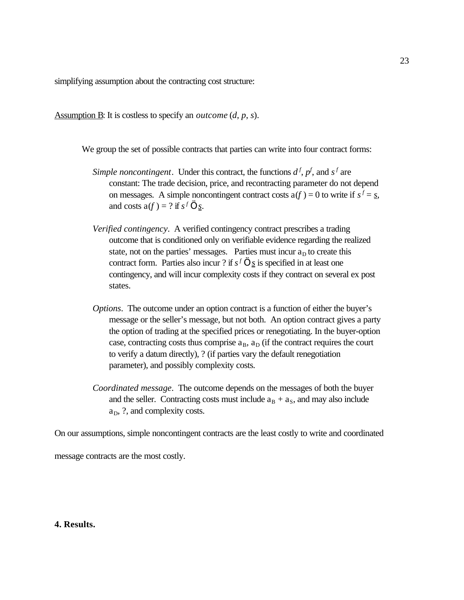simplifying assumption about the contracting cost structure:

Assumption B: It is costless to specify an *outcome* (*d*, *p*, *s*).

We group the set of possible contracts that parties can write into four contract forms:

- Simple noncontingent. Under this contract, the functions  $d^f$ ,  $p^f$ , and  $s^f$  are constant: The trade decision, price, and recontracting parameter do not depend on messages. A simple noncontingent contract costs  $a(f) = 0$  to write if  $s^f = s$ , and costs  $a(f) = ?$  if  $s^f$  ... <u>s</u>.
- *Verified contingency*. A verified contingency contract prescribes a trading outcome that is conditioned only on verifiable evidence regarding the realized state, not on the parties' messages. Parties must incur  $a<sub>D</sub>$  to create this contract form. Parties also incur ? if  $s^f$  ...  $\underline{s}$  is specified in at least one contingency, and will incur complexity costs if they contract on several ex post states.
- *Options*. The outcome under an option contract is a function of either the buyer's message or the seller's message, but not both. An option contract gives a party the option of trading at the specified prices or renegotiating. In the buyer-option case, contracting costs thus comprise  $a_B$ ,  $a_D$  (if the contract requires the court to verify a datum directly), ? (if parties vary the default renegotiation parameter), and possibly complexity costs.
- *Coordinated message*. The outcome depends on the messages of both the buyer and the seller. Contracting costs must include  $a_B + a_S$ , and may also include  $a_D$ , ?, and complexity costs.

On our assumptions, simple noncontingent contracts are the least costly to write and coordinated

message contracts are the most costly.

## **4. Results.**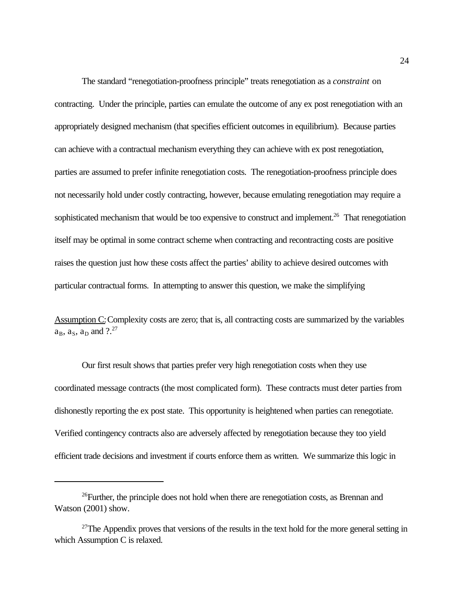The standard "renegotiation-proofness principle" treats renegotiation as a *constraint* on contracting. Under the principle, parties can emulate the outcome of any ex post renegotiation with an appropriately designed mechanism (that specifies efficient outcomes in equilibrium). Because parties can achieve with a contractual mechanism everything they can achieve with ex post renegotiation, parties are assumed to prefer infinite renegotiation costs. The renegotiation-proofness principle does not necessarily hold under costly contracting, however, because emulating renegotiation may require a sophisticated mechanism that would be too expensive to construct and implement.<sup>26</sup> That renegotiation itself may be optimal in some contract scheme when contracting and recontracting costs are positive raises the question just how these costs affect the parties' ability to achieve desired outcomes with particular contractual forms. In attempting to answer this question, we make the simplifying

Assumption C: Complexity costs are zero; that is, all contracting costs are summarized by the variables  $a_B$ ,  $a_S$ ,  $a_D$  and  $?^{27}$ 

Our first result shows that parties prefer very high renegotiation costs when they use coordinated message contracts (the most complicated form). These contracts must deter parties from dishonestly reporting the ex post state. This opportunity is heightened when parties can renegotiate. Verified contingency contracts also are adversely affected by renegotiation because they too yield efficient trade decisions and investment if courts enforce them as written. We summarize this logic in

 $^{26}$ Further, the principle does not hold when there are renegotiation costs, as Brennan and Watson (2001) show.

 $27$ The Appendix proves that versions of the results in the text hold for the more general setting in which Assumption C is relaxed.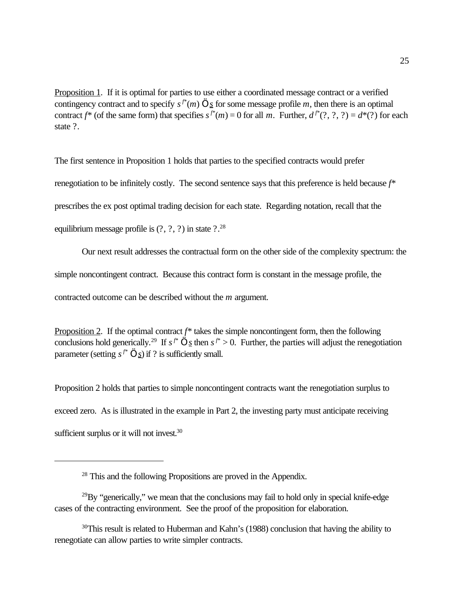Proposition 1. If it is optimal for parties to use either a coordinated message contract or a verified contingency contract and to specify  $s^f*(m)$  ... *s* for some message profile *m*, then there is an optimal contract  $f^*$  (of the same form) that specifies  $s^{f^*}(m) = 0$  for all *m*. Further,  $d^{f^*}(?, ?, ?) = d^*(?)$  for each state ?.

The first sentence in Proposition 1 holds that parties to the specified contracts would prefer renegotiation to be infinitely costly. The second sentence says that this preference is held because *f*\* prescribes the ex post optimal trading decision for each state. Regarding notation, recall that the equilibrium message profile is  $(?, ?, ?)$  in state  $?.^{28}$ 

Our next result addresses the contractual form on the other side of the complexity spectrum: the simple noncontingent contract. Because this contract form is constant in the message profile, the contracted outcome can be described without the *m* argument.

Proposition 2. If the optimal contract *f*\* takes the simple noncontingent form, then the following conclusions hold generically.<sup>29</sup> If  $s^{f^*}$  ... <u>*s*</u> then  $s^{f^*} > 0$ . Further, the parties will adjust the renegotiation parameter (setting  $s^{f^*}$  ...  $\underline{s}$ ) if ? is sufficiently small.

Proposition 2 holds that parties to simple noncontingent contracts want the renegotiation surplus to exceed zero. As is illustrated in the example in Part 2, the investing party must anticipate receiving sufficient surplus or it will not invest.<sup>30</sup>

<sup>&</sup>lt;sup>28</sup> This and the following Propositions are proved in the Appendix.

 $^{29}$ By "generically," we mean that the conclusions may fail to hold only in special knife-edge cases of the contracting environment. See the proof of the proposition for elaboration.

 $30$ This result is related to Huberman and Kahn's (1988) conclusion that having the ability to renegotiate can allow parties to write simpler contracts.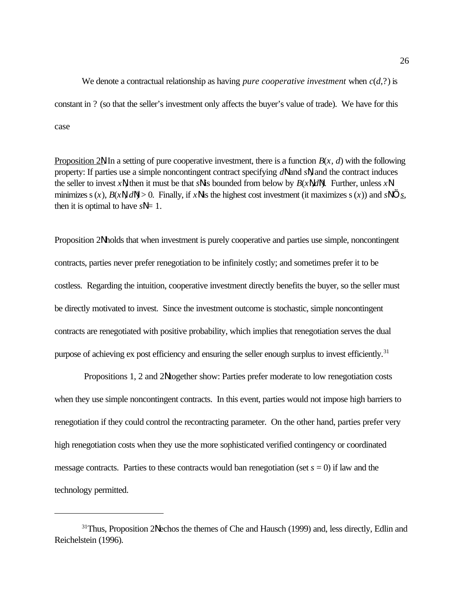We denote a contractual relationship as having *pure cooperative investment* when  $c(d,?)$  is constant in ? (so that the seller's investment only affects the buyer's value of trade). We have for this case

Proposition 2N. In a setting of pure cooperative investment, there is a function  $B(x, d)$  with the following property: If parties use a simple noncontingent contract specifying  $dN$  and  $sN$ , and the contract induces the seller to invest *x*N, then it must be that *s*N is bounded from below by *B*(*x*N,*d*N). Further, unless *x*N minimizes s(*x*),  $B(x\vert \mathbf{l}, d\vert \mathbf{l}) > 0$ . Finally, if *x* $\vert \mathbf{l} \vert$  is the highest cost investment (it maximizes s(*x*)) and *s* $\vert \mathbf{l} \vert \ldots$  *s*, then it is optimal to have  $sN = 1$ .

Proposition 2N holds that when investment is purely cooperative and parties use simple, noncontingent contracts, parties never prefer renegotiation to be infinitely costly; and sometimes prefer it to be costless. Regarding the intuition, cooperative investment directly benefits the buyer, so the seller must be directly motivated to invest. Since the investment outcome is stochastic, simple noncontingent contracts are renegotiated with positive probability, which implies that renegotiation serves the dual purpose of achieving ex post efficiency and ensuring the seller enough surplus to invest efficiently.<sup>31</sup>

 Propositions 1, 2 and 2N together show: Parties prefer moderate to low renegotiation costs when they use simple noncontingent contracts. In this event, parties would not impose high barriers to renegotiation if they could control the recontracting parameter. On the other hand, parties prefer very high renegotiation costs when they use the more sophisticated verified contingency or coordinated message contracts. Parties to these contracts would ban renegotiation (set  $s = 0$ ) if law and the technology permitted.

 $31$ Thus, Proposition 2 $\ell$  echos the themes of Che and Hausch (1999) and, less directly, Edlin and Reichelstein (1996).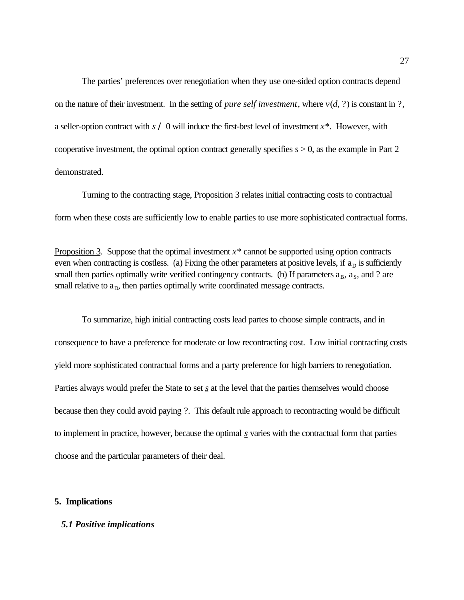The parties' preferences over renegotiation when they use one-sided option contracts depend on the nature of their investment. In the setting of *pure self investment*, where  $v(d, ?)$  is constant in ?, a seller-option contract with *s* / 0 will induce the first-best level of investment *x*\*. However, with cooperative investment, the optimal option contract generally specifies *s* > 0, as the example in Part 2 demonstrated.

Turning to the contracting stage, Proposition 3 relates initial contracting costs to contractual form when these costs are sufficiently low to enable parties to use more sophisticated contractual forms.

Proposition 3. Suppose that the optimal investment *x*\* cannot be supported using option contracts even when contracting is costless. (a) Fixing the other parameters at positive levels, if  $a<sub>D</sub>$  is sufficiently small then parties optimally write verified contingency contracts. (b) If parameters  $a_B$ ,  $a_S$ , and ? are small relative to  $a_D$ , then parties optimally write coordinated message contracts.

To summarize, high initial contracting costs lead partes to choose simple contracts, and in consequence to have a preference for moderate or low recontracting cost. Low initial contracting costs yield more sophisticated contractual forms and a party preference for high barriers to renegotiation. Parties always would prefer the State to set <u>s</u> at the level that the parties themselves would choose because then they could avoid paying ?. This default rule approach to recontracting would be difficult to implement in practice, however, because the optimal *s* varies with the contractual form that parties choose and the particular parameters of their deal.

#### **5. Implications**

#### *5.1 Positive implications*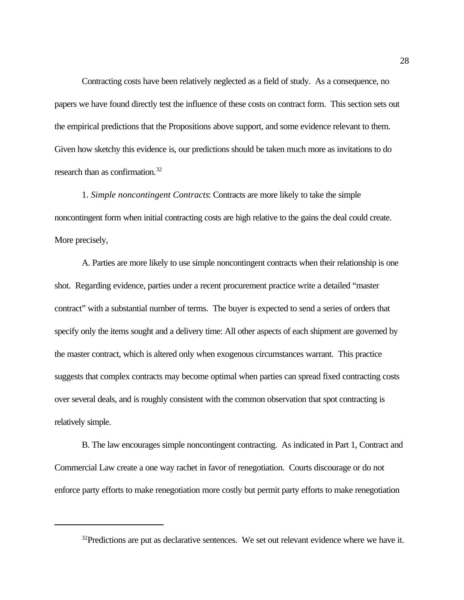Contracting costs have been relatively neglected as a field of study. As a consequence, no papers we have found directly test the influence of these costs on contract form. This section sets out the empirical predictions that the Propositions above support, and some evidence relevant to them. Given how sketchy this evidence is, our predictions should be taken much more as invitations to do research than as confirmation.<sup>32</sup>

1. *Simple noncontingent Contracts*: Contracts are more likely to take the simple noncontingent form when initial contracting costs are high relative to the gains the deal could create. More precisely,

A. Parties are more likely to use simple noncontingent contracts when their relationship is one shot. Regarding evidence, parties under a recent procurement practice write a detailed "master contract" with a substantial number of terms. The buyer is expected to send a series of orders that specify only the items sought and a delivery time: All other aspects of each shipment are governed by the master contract, which is altered only when exogenous circumstances warrant. This practice suggests that complex contracts may become optimal when parties can spread fixed contracting costs over several deals, and is roughly consistent with the common observation that spot contracting is relatively simple.

B. The law encourages simple noncontingent contracting. As indicated in Part 1, Contract and Commercial Law create a one way rachet in favor of renegotiation. Courts discourage or do not enforce party efforts to make renegotiation more costly but permit party efforts to make renegotiation

 $32$ Predictions are put as declarative sentences. We set out relevant evidence where we have it.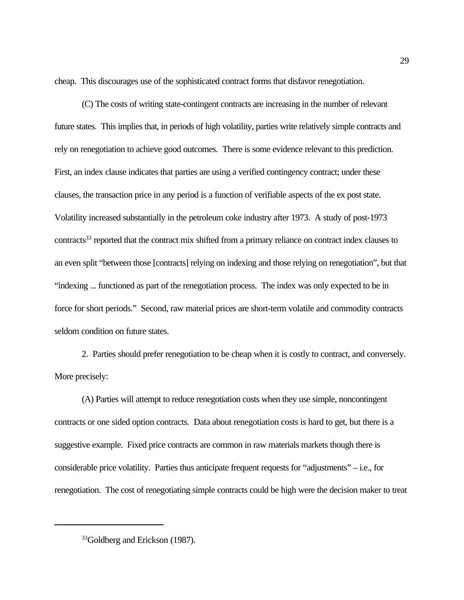cheap. This discourages use of the sophisticated contract forms that disfavor renegotiation.

(C) The costs of writing state-contingent contracts are increasing in the number of relevant future states. This implies that, in periods of high volatility, parties write relatively simple contracts and rely on renegotiation to achieve good outcomes. There is some evidence relevant to this prediction. First, an index clause indicates that parties are using a verified contingency contract; under these clauses, the transaction price in any period is a function of verifiable aspects of the ex post state. Volatility increased substantially in the petroleum coke industry after 1973. A study of post-1973 contracts<sup>33</sup> reported that the contract mix shifted from a primary reliance on contract index clauses to an even split "between those [contracts] relying on indexing and those relying on renegotiation", but that "indexing ... functioned as part of the renegotiation process. The index was only expected to be in force for short periods." Second, raw material prices are short-term volatile and commodity contracts seldom condition on future states.

2. Parties should prefer renegotiation to be cheap when it is costly to contract, and conversely. More precisely:

(A) Parties will attempt to reduce renegotiation costs when they use simple, noncontingent contracts or one sided option contracts. Data about renegotiation costs is hard to get, but there is a suggestive example. Fixed price contracts are common in raw materials markets though there is considerable price volatility. Parties thus anticipate frequent requests for "adjustments" – i.e., for renegotiation. The cost of renegotiating simple contracts could be high were the decision maker to treat

<sup>&</sup>lt;sup>33</sup>Goldberg and Erickson (1987).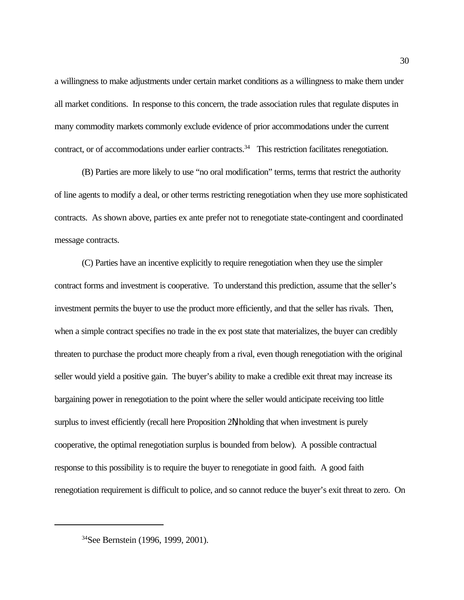a willingness to make adjustments under certain market conditions as a willingness to make them under all market conditions. In response to this concern, the trade association rules that regulate disputes in many commodity markets commonly exclude evidence of prior accommodations under the current contract, or of accommodations under earlier contracts.<sup>34</sup> This restriction facilitates renegotiation.

(B) Parties are more likely to use "no oral modification" terms, terms that restrict the authority of line agents to modify a deal, or other terms restricting renegotiation when they use more sophisticated contracts. As shown above, parties ex ante prefer not to renegotiate state-contingent and coordinated message contracts.

(C) Parties have an incentive explicitly to require renegotiation when they use the simpler contract forms and investment is cooperative. To understand this prediction, assume that the seller's investment permits the buyer to use the product more efficiently, and that the seller has rivals. Then, when a simple contract specifies no trade in the ex post state that materializes, the buyer can credibly threaten to purchase the product more cheaply from a rival, even though renegotiation with the original seller would yield a positive gain. The buyer's ability to make a credible exit threat may increase its bargaining power in renegotiation to the point where the seller would anticipate receiving too little surplus to invest efficiently (recall here Proposition 2N, holding that when investment is purely cooperative, the optimal renegotiation surplus is bounded from below). A possible contractual response to this possibility is to require the buyer to renegotiate in good faith. A good faith renegotiation requirement is difficult to police, and so cannot reduce the buyer's exit threat to zero. On

<sup>&</sup>lt;sup>34</sup>See Bernstein (1996, 1999, 2001).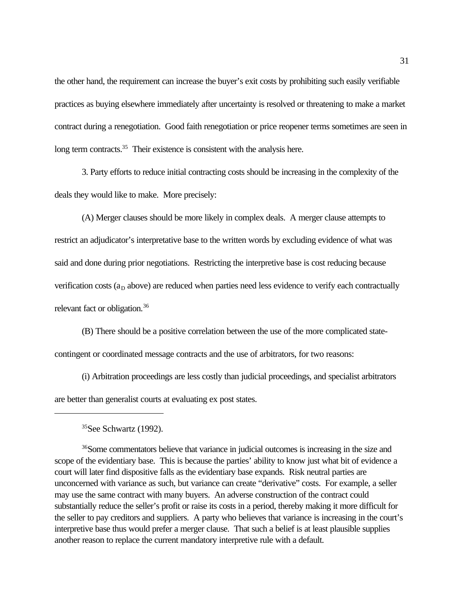the other hand, the requirement can increase the buyer's exit costs by prohibiting such easily verifiable practices as buying elsewhere immediately after uncertainty is resolved or threatening to make a market contract during a renegotiation. Good faith renegotiation or price reopener terms sometimes are seen in long term contracts.<sup>35</sup> Their existence is consistent with the analysis here.

3. Party efforts to reduce initial contracting costs should be increasing in the complexity of the deals they would like to make. More precisely:

(A) Merger clauses should be more likely in complex deals. A merger clause attempts to restrict an adjudicator's interpretative base to the written words by excluding evidence of what was said and done during prior negotiations. Restricting the interpretive base is cost reducing because verification costs ( $a<sub>D</sub>$  above) are reduced when parties need less evidence to verify each contractually relevant fact or obligation.<sup>36</sup>

(B) There should be a positive correlation between the use of the more complicated statecontingent or coordinated message contracts and the use of arbitrators, for two reasons:

(i) Arbitration proceedings are less costly than judicial proceedings, and specialist arbitrators are better than generalist courts at evaluating ex post states.

 $35$ See Schwartz (1992).

<sup>36</sup>Some commentators believe that variance in judicial outcomes is increasing in the size and scope of the evidentiary base. This is because the parties' ability to know just what bit of evidence a court will later find dispositive falls as the evidentiary base expands. Risk neutral parties are unconcerned with variance as such, but variance can create "derivative" costs. For example, a seller may use the same contract with many buyers. An adverse construction of the contract could substantially reduce the seller's profit or raise its costs in a period, thereby making it more difficult for the seller to pay creditors and suppliers. A party who believes that variance is increasing in the court's interpretive base thus would prefer a merger clause. That such a belief is at least plausible supplies another reason to replace the current mandatory interpretive rule with a default.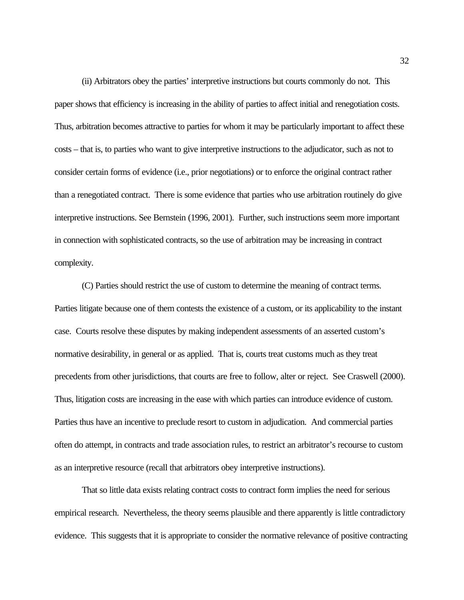(ii) Arbitrators obey the parties' interpretive instructions but courts commonly do not. This paper shows that efficiency is increasing in the ability of parties to affect initial and renegotiation costs. Thus, arbitration becomes attractive to parties for whom it may be particularly important to affect these costs – that is, to parties who want to give interpretive instructions to the adjudicator, such as not to consider certain forms of evidence (i.e., prior negotiations) or to enforce the original contract rather than a renegotiated contract. There is some evidence that parties who use arbitration routinely do give interpretive instructions. See Bernstein (1996, 2001). Further, such instructions seem more important in connection with sophisticated contracts, so the use of arbitration may be increasing in contract complexity.

(C) Parties should restrict the use of custom to determine the meaning of contract terms. Parties litigate because one of them contests the existence of a custom, or its applicability to the instant case. Courts resolve these disputes by making independent assessments of an asserted custom's normative desirability, in general or as applied. That is, courts treat customs much as they treat precedents from other jurisdictions, that courts are free to follow, alter or reject. See Craswell (2000). Thus, litigation costs are increasing in the ease with which parties can introduce evidence of custom. Parties thus have an incentive to preclude resort to custom in adjudication. And commercial parties often do attempt, in contracts and trade association rules, to restrict an arbitrator's recourse to custom as an interpretive resource (recall that arbitrators obey interpretive instructions).

That so little data exists relating contract costs to contract form implies the need for serious empirical research. Nevertheless, the theory seems plausible and there apparently is little contradictory evidence. This suggests that it is appropriate to consider the normative relevance of positive contracting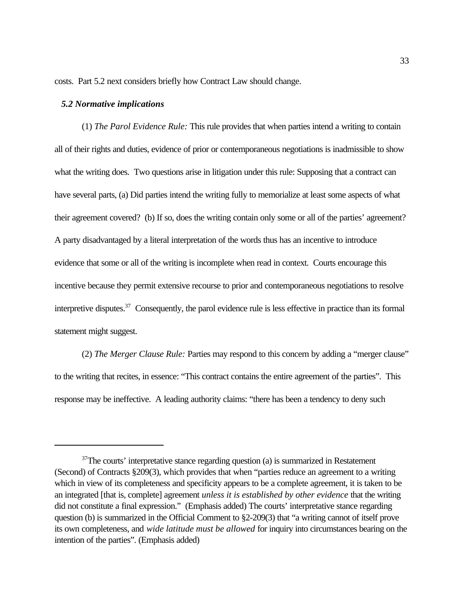costs. Part 5.2 next considers briefly how Contract Law should change.

#### *5.2 Normative implications*

(1) *The Parol Evidence Rule:* This rule provides that when parties intend a writing to contain all of their rights and duties, evidence of prior or contemporaneous negotiations is inadmissible to show what the writing does. Two questions arise in litigation under this rule: Supposing that a contract can have several parts, (a) Did parties intend the writing fully to memorialize at least some aspects of what their agreement covered? (b) If so, does the writing contain only some or all of the parties' agreement? A party disadvantaged by a literal interpretation of the words thus has an incentive to introduce evidence that some or all of the writing is incomplete when read in context. Courts encourage this incentive because they permit extensive recourse to prior and contemporaneous negotiations to resolve interpretive disputes.<sup>37</sup> Consequently, the parol evidence rule is less effective in practice than its formal statement might suggest.

(2) *The Merger Clause Rule:* Parties may respond to this concern by adding a "merger clause" to the writing that recites, in essence: "This contract contains the entire agreement of the parties". This response may be ineffective. A leading authority claims: "there has been a tendency to deny such

 $37$ The courts' interpretative stance regarding question (a) is summarized in Restatement (Second) of Contracts §209(3), which provides that when "parties reduce an agreement to a writing which in view of its completeness and specificity appears to be a complete agreement, it is taken to be an integrated [that is, complete] agreement *unless it is established by other evidence* that the writing did not constitute a final expression." (Emphasis added) The courts' interpretative stance regarding question (b) is summarized in the Official Comment to §2-209(3) that "a writing cannot of itself prove its own completeness, and *wide latitude must be allowed* for inquiry into circumstances bearing on the intention of the parties". (Emphasis added)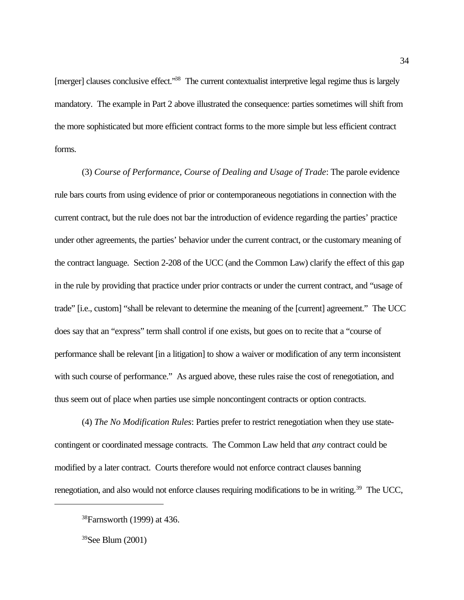[merger] clauses conclusive effect.<sup>38</sup> The current contextualist interpretive legal regime thus is largely mandatory. The example in Part 2 above illustrated the consequence: parties sometimes will shift from the more sophisticated but more efficient contract forms to the more simple but less efficient contract forms.

(3) *Course of Performance, Course of Dealing and Usage of Trade*: The parole evidence rule bars courts from using evidence of prior or contemporaneous negotiations in connection with the current contract, but the rule does not bar the introduction of evidence regarding the parties' practice under other agreements, the parties' behavior under the current contract, or the customary meaning of the contract language. Section 2-208 of the UCC (and the Common Law) clarify the effect of this gap in the rule by providing that practice under prior contracts or under the current contract, and "usage of trade" [i.e., custom] "shall be relevant to determine the meaning of the [current] agreement." The UCC does say that an "express" term shall control if one exists, but goes on to recite that a "course of performance shall be relevant [in a litigation] to show a waiver or modification of any term inconsistent with such course of performance." As argued above, these rules raise the cost of renegotiation, and thus seem out of place when parties use simple noncontingent contracts or option contracts.

(4) *The No Modification Rules*: Parties prefer to restrict renegotiation when they use statecontingent or coordinated message contracts. The Common Law held that *any* contract could be modified by a later contract. Courts therefore would not enforce contract clauses banning renegotiation, and also would not enforce clauses requiring modifications to be in writing.<sup>39</sup> The UCC,

<sup>38</sup>Farnsworth (1999) at 436.

 $39$ See Blum (2001)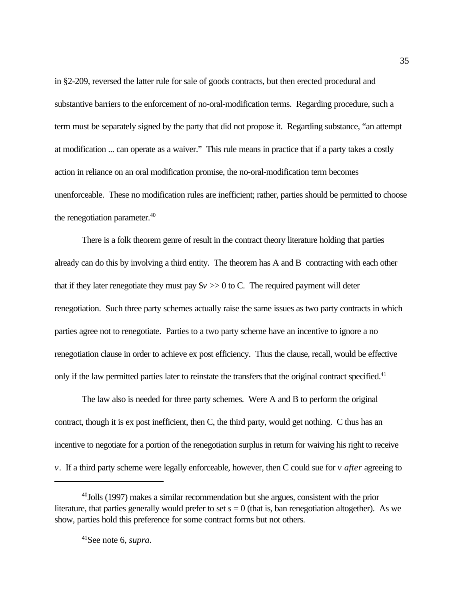in §2-209, reversed the latter rule for sale of goods contracts, but then erected procedural and substantive barriers to the enforcement of no-oral-modification terms. Regarding procedure, such a term must be separately signed by the party that did not propose it. Regarding substance, "an attempt at modification ... can operate as a waiver." This rule means in practice that if a party takes a costly action in reliance on an oral modification promise, the no-oral-modification term becomes unenforceable. These no modification rules are inefficient; rather, parties should be permitted to choose the renegotiation parameter.<sup>40</sup>

There is a folk theorem genre of result in the contract theory literature holding that parties already can do this by involving a third entity. The theorem has A and B contracting with each other that if they later renegotiate they must pay  $\gamma > 0$  to C. The required payment will deter renegotiation. Such three party schemes actually raise the same issues as two party contracts in which parties agree not to renegotiate. Parties to a two party scheme have an incentive to ignore a no renegotiation clause in order to achieve ex post efficiency. Thus the clause, recall, would be effective only if the law permitted parties later to reinstate the transfers that the original contract specified.<sup>41</sup>

The law also is needed for three party schemes. Were A and B to perform the original contract, though it is ex post inefficient, then C, the third party, would get nothing. C thus has an incentive to negotiate for a portion of the renegotiation surplus in return for waiving his right to receive *v*. If a third party scheme were legally enforceable, however, then C could sue for *v after* agreeing to

 $40$  Jolls (1997) makes a similar recommendation but she argues, consistent with the prior literature, that parties generally would prefer to set  $s = 0$  (that is, ban renegotiation altogether). As we show, parties hold this preference for some contract forms but not others.

<sup>41</sup>See note 6, *supra*.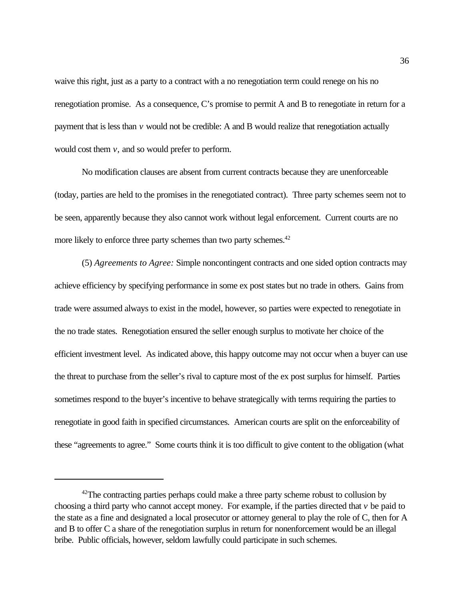waive this right, just as a party to a contract with a no renegotiation term could renege on his no renegotiation promise. As a consequence, C's promise to permit A and B to renegotiate in return for a payment that is less than *v* would not be credible: A and B would realize that renegotiation actually would cost them *v,* and so would prefer to perform.

No modification clauses are absent from current contracts because they are unenforceable (today, parties are held to the promises in the renegotiated contract). Three party schemes seem not to be seen, apparently because they also cannot work without legal enforcement. Current courts are no more likely to enforce three party schemes than two party schemes.<sup>42</sup>

(5) *Agreements to Agree:* Simple noncontingent contracts and one sided option contracts may achieve efficiency by specifying performance in some ex post states but no trade in others. Gains from trade were assumed always to exist in the model, however, so parties were expected to renegotiate in the no trade states. Renegotiation ensured the seller enough surplus to motivate her choice of the efficient investment level. As indicated above, this happy outcome may not occur when a buyer can use the threat to purchase from the seller's rival to capture most of the ex post surplus for himself. Parties sometimes respond to the buyer's incentive to behave strategically with terms requiring the parties to renegotiate in good faith in specified circumstances. American courts are split on the enforceability of these "agreements to agree." Some courts think it is too difficult to give content to the obligation (what

 $42$ The contracting parties perhaps could make a three party scheme robust to collusion by choosing a third party who cannot accept money. For example, if the parties directed that *v* be paid to the state as a fine and designated a local prosecutor or attorney general to play the role of C, then for A and B to offer C a share of the renegotiation surplus in return for nonenforcement would be an illegal bribe. Public officials, however, seldom lawfully could participate in such schemes.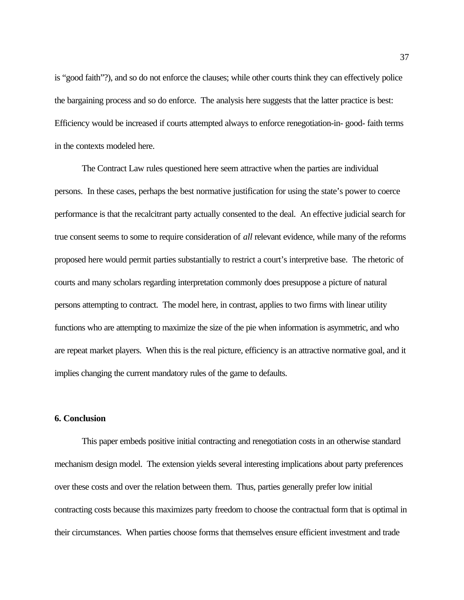is "good faith"?), and so do not enforce the clauses; while other courts think they can effectively police the bargaining process and so do enforce. The analysis here suggests that the latter practice is best: Efficiency would be increased if courts attempted always to enforce renegotiation-in- good- faith terms in the contexts modeled here.

The Contract Law rules questioned here seem attractive when the parties are individual persons. In these cases, perhaps the best normative justification for using the state's power to coerce performance is that the recalcitrant party actually consented to the deal. An effective judicial search for true consent seems to some to require consideration of *all* relevant evidence, while many of the reforms proposed here would permit parties substantially to restrict a court's interpretive base. The rhetoric of courts and many scholars regarding interpretation commonly does presuppose a picture of natural persons attempting to contract. The model here, in contrast, applies to two firms with linear utility functions who are attempting to maximize the size of the pie when information is asymmetric, and who are repeat market players. When this is the real picture, efficiency is an attractive normative goal, and it implies changing the current mandatory rules of the game to defaults.

## **6. Conclusion**

This paper embeds positive initial contracting and renegotiation costs in an otherwise standard mechanism design model. The extension yields several interesting implications about party preferences over these costs and over the relation between them. Thus, parties generally prefer low initial contracting costs because this maximizes party freedom to choose the contractual form that is optimal in their circumstances. When parties choose forms that themselves ensure efficient investment and trade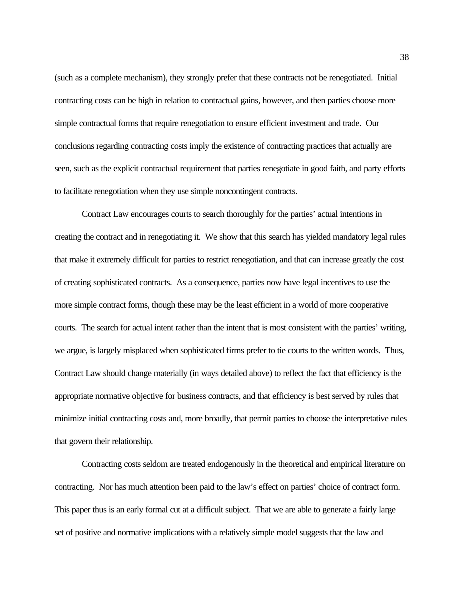(such as a complete mechanism), they strongly prefer that these contracts not be renegotiated. Initial contracting costs can be high in relation to contractual gains, however, and then parties choose more simple contractual forms that require renegotiation to ensure efficient investment and trade. Our conclusions regarding contracting costs imply the existence of contracting practices that actually are seen, such as the explicit contractual requirement that parties renegotiate in good faith, and party efforts to facilitate renegotiation when they use simple noncontingent contracts.

Contract Law encourages courts to search thoroughly for the parties' actual intentions in creating the contract and in renegotiating it. We show that this search has yielded mandatory legal rules that make it extremely difficult for parties to restrict renegotiation, and that can increase greatly the cost of creating sophisticated contracts. As a consequence, parties now have legal incentives to use the more simple contract forms, though these may be the least efficient in a world of more cooperative courts. The search for actual intent rather than the intent that is most consistent with the parties' writing, we argue, is largely misplaced when sophisticated firms prefer to tie courts to the written words. Thus, Contract Law should change materially (in ways detailed above) to reflect the fact that efficiency is the appropriate normative objective for business contracts, and that efficiency is best served by rules that minimize initial contracting costs and, more broadly, that permit parties to choose the interpretative rules that govern their relationship.

Contracting costs seldom are treated endogenously in the theoretical and empirical literature on contracting. Nor has much attention been paid to the law's effect on parties' choice of contract form. This paper thus is an early formal cut at a difficult subject. That we are able to generate a fairly large set of positive and normative implications with a relatively simple model suggests that the law and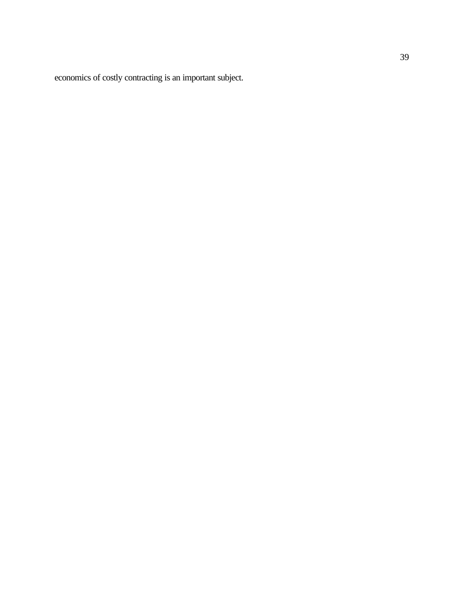economics of costly contracting is an important subject.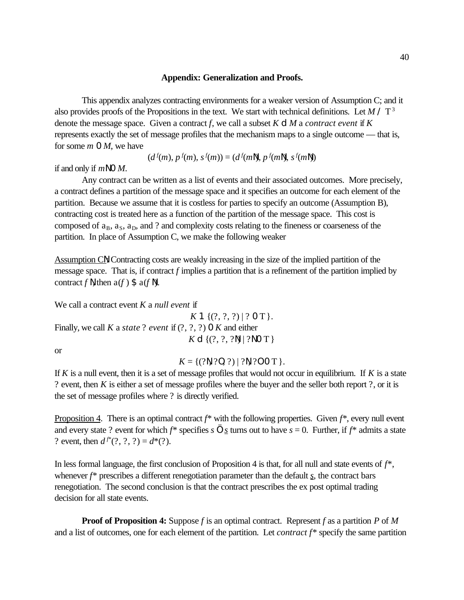#### **Appendix: Generalization and Proofs.**

This appendix analyzes contracting environments for a weaker version of Assumption C; and it also provides proofs of the Propositions in the text. We start with technical definitions. Let  $M / T<sup>3</sup>$ denote the message space. Given a contract *f*, we call a subset *K* d *M* a *contract event* if *K* represents exactly the set of message profiles that the mechanism maps to a single outcome — that is, for some *m* 0 *M*, we have

$$
(df(m), pf(m), sf(m)) = (df(mN), pf(mN), sf(mN))
$$

if and only if *m*N 0 *M*.

Any contract can be written as a list of events and their associated outcomes. More precisely, a contract defines a partition of the message space and it specifies an outcome for each element of the partition. Because we assume that it is costless for parties to specify an outcome (Assumption B), contracting cost is treated here as a function of the partition of the message space. This cost is composed of  $a_B$ ,  $a_S$ ,  $a_D$ , and ? and complexity costs relating to the fineness or coarseness of the partition. In place of Assumption C, we make the following weaker

Assumption CN: Contracting costs are weakly increasing in the size of the implied partition of the message space. That is, if contract *f* implies a partition that is a refinement of the partition implied by contract  $f \mathbb{N}$ , then  $a(f) \mathfrak{S} a(f \mathbb{N})$ .

We call a contract event *K* a *null event* if  $K1$  { $(?,?,?)$  | ? O T }. Finally, we call *K* a *state* ? *event* if (?, ?, ?) 0 *K* and either *K* d { $(?$ , ?, ?N} | ?NOT }

or

 $K = \{(?N, ?0, ?) | ?N, ?0 \text{ or } T\}.$ 

If *K* is a null event, then it is a set of message profiles that would not occur in equilibrium. If *K* is a state ? event, then *K* is either a set of message profiles where the buyer and the seller both report ?, or it is the set of message profiles where ? is directly verified.

Proposition 4. There is an optimal contract  $f^*$  with the following properties. Given  $f^*$ , every null event and every state ? event for which  $f^*$  specifies  $s \dots s$  turns out to have  $s = 0$ . Further, if  $f^*$  admits a state ? event, then  $d^{f^*}(?, ?, ?) = d^*(?)$ .

In less formal language, the first conclusion of Proposition 4 is that, for all null and state events of *f*\*, whenever *f*\* prescribes a different renegotiation parameter than the default *s*, the contract bars renegotiation. The second conclusion is that the contract prescribes the ex post optimal trading decision for all state events.

**Proof of Proposition 4:** Suppose *f* is an optimal contract. Represent *f* as a partition *P* of *M* and a list of outcomes, one for each element of the partition. Let *contract f*\* specify the same partition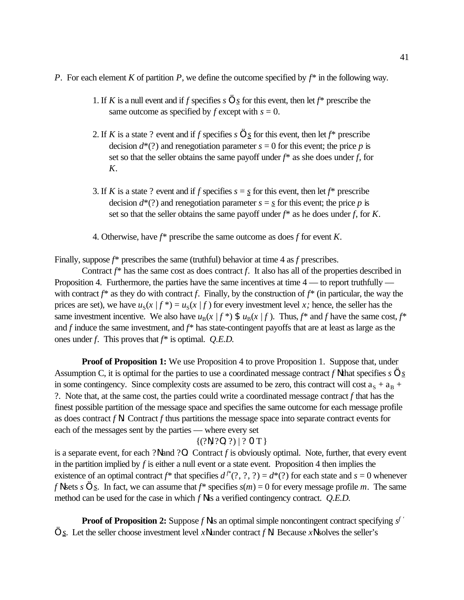- *P*. For each element *K* of partition *P*, we define the outcome specified by  $f^*$  in the following way.
	- 1. If *K* is a null event and if *f* specifies *s* … *s* for this event, then let *f*\* prescribe the same outcome as specified by  $f$  except with  $s = 0$ .
	- 2. If *K* is a state ? event and if *f* specifies *s* … *s* for this event, then let *f*\* prescribe decision  $d^*(?)$  and renegotiation parameter  $s = 0$  for this event; the price p is set so that the seller obtains the same payoff under *f*\* as she does under *f*, for *K*.
	- 3. If *K* is a state ? event and if *f* specifies  $s = s$  for this event, then let  $f^*$  prescribe decision  $d^*(?)$  and renegotiation parameter  $s = s$  for this event; the price p is set so that the seller obtains the same payoff under *f*\* as he does under *f*, for *K*.
	- 4. Otherwise, have *f*\* prescribe the same outcome as does *f* for event *K*.

Finally, suppose *f*\* prescribes the same (truthful) behavior at time 4 as *f* prescribes.

Contract  $f^*$  has the same cost as does contract  $f$ . It also has all of the properties described in Proposition 4. Furthermore, the parties have the same incentives at time  $4$  — to report truthfully with contract  $f^*$  as they do with contract f. Finally, by the construction of  $f^*$  (in particular, the way the prices are set), we have  $u_S(x | f^*) = u_S(x | f)$  for every investment level *x*; hence, the seller has the same investment incentive. We also have  $u_B(x | f^*)$  \$  $u_B(x | f)$ . Thus,  $f^*$  and  $f$  have the same cost,  $f^*$ and *f* induce the same investment, and *f*\* has state-contingent payoffs that are at least as large as the ones under *f*. This proves that *f*\* is optimal. *Q.E.D.*

**Proof of Proposition 1:** We use Proposition 4 to prove Proposition 1. Suppose that, under Assumption C, it is optimal for the parties to use a coordinated message contract *f* N that specifies *s* ... <u>*s*</u> in some contingency. Since complexity costs are assumed to be zero, this contract will cost  $a_S + a_B + b_S$ ?. Note that, at the same cost, the parties could write a coordinated message contract *f* that has the finest possible partition of the message space and specifies the same outcome for each message profile as does contract  $f \mathbf{N}$ . Contract  $f$  thus partitions the message space into separate contract events for each of the messages sent by the parties — where every set

### $\{(?N, ?0, ?) | ? 0 T\}$

is a separate event, for each ?N and ?O. Contract *f* is obviously optimal. Note, further, that every event in the partition implied by  $f$  is either a null event or a state event. Proposition 4 then implies the existence of an optimal contract  $f^*$  that specifies  $d^{f^*}(?, ?, ?) = d^*(?)$  for each state and  $s = 0$  whenever *f* N sets *s* … <u>*s*</u>. In fact, we can assume that  $f^*$  specifies  $s(m) = 0$  for every message profile *m*. The same method can be used for the case in which *f* N is a verified contingency contract. *Q.E.D.*

**Proof of Proposition 2:** Suppose  $f \parallel$  is an optimal simple noncontingent contract specifying  $s^f$ ...  $\underline{s}$ . Let the seller choose investment level *x*N under contract *f* N. Because *x*N solves the seller's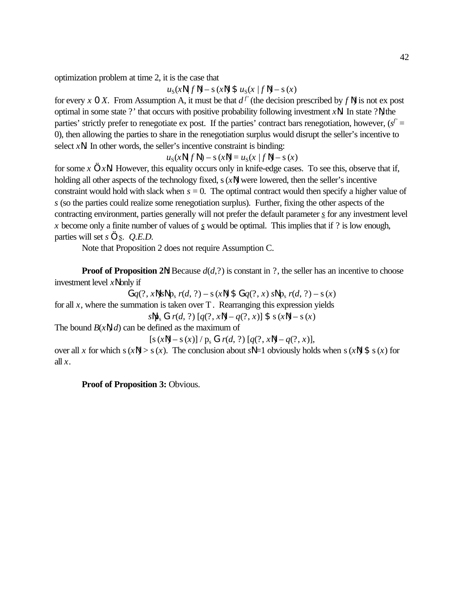optimization problem at time 2, it is the case that

 $u_S(x \mid f \mid) - s(x \mid) \; \text{S} \; u_S(x \mid f \mid) - s(x)$ 

for every *x* 0 *X*. From Assumption A, it must be that  $d^f$  (the decision prescribed by  $f \mathbb{N}$ ) is not ex post optimal in some state ?' that occurs with positive probability following investment *x*N. In state ?N, the parties' strictly prefer to renegotiate ex post. If the parties' contract bars renegotiation, however,  $(s^f =$ 0), then allowing the parties to share in the renegotiation surplus would disrupt the seller's incentive to select *x*N. In other words, the seller's incentive constraint is binding:

 $u_S(xN | fN) - s(xN) = u_S(x | fN) - s(x)$ 

for some *x* ... *x*N. However, this equality occurs only in knife-edge cases. To see this, observe that if, holding all other aspects of the technology fixed, s(*x*N) were lowered, then the seller's incentive constraint would hold with slack when  $s = 0$ . The optimal contract would then specify a higher value of *s* (so the parties could realize some renegotiation surplus). Further, fixing the other aspects of the contracting environment, parties generally will not prefer the default parameter *s* for any investment level *x* become only a finite number of values of *s* would be optimal. This implies that if ? is low enough, parties will set *s* … *s*. *Q.E.D.*

Note that Proposition 2 does not require Assumption C.

**Proof of Proposition 2** $\mathbb{N}$ **:** Because  $d(d, ?)$  is constant in ?, the seller has an incentive to choose investment level *x*N only if

 $G_q(?, x\mathbb{N})$ *s* $\mathbb{N}$  p<sub>s</sub>  $r(d, ?) - s(x\mathbb{N})$  \$  $G_q(?, x)$  *s* $\mathbb{N}$  p<sub>s</sub>  $r(d, ?) - s(x)$ for all  $x$ , where the summation is taken over  $T$ . Rearranging this expression yields *s*<sup>Np<sub>s</sub> **G**  $r(d, ?)$  [ $q(?, x\mathbb{N}) - q(?, x)$ ] \$  $s(x\mathbb{N}) - s(x)$ </sup> The bound *B*(*x*N, *d*) can be defined as the maximum of  $[s(xN) - s(x)] / p_s G r(d, ?) [q(?, xN) - q(?, x)],$ over all *x* for which s(*x*N) > s(*x*). The conclusion about *s*N =1 obviously holds when s(*x*N) \$ s(*x*) for

**Proof of Proposition 3:** Obvious.

all  $x$ .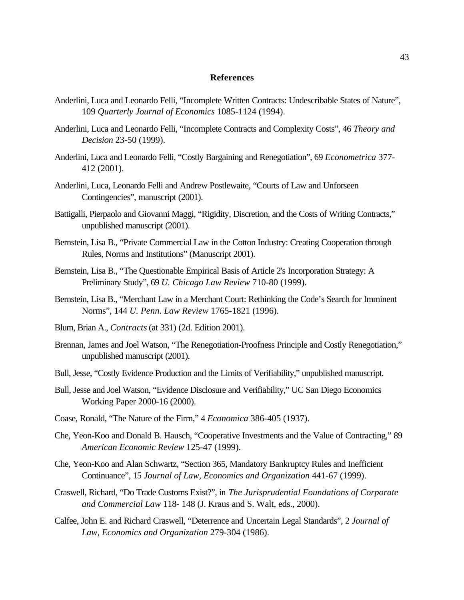#### **References**

- Anderlini, Luca and Leonardo Felli, "Incomplete Written Contracts: Undescribable States of Nature", 109 *Quarterly Journal of Economics* 1085-1124 (1994).
- Anderlini, Luca and Leonardo Felli, "Incomplete Contracts and Complexity Costs", 46 *Theory and Decision* 23-50 (1999).
- Anderlini, Luca and Leonardo Felli, "Costly Bargaining and Renegotiation", 69 *Econometrica* 377- 412 (2001).
- Anderlini, Luca, Leonardo Felli and Andrew Postlewaite, "Courts of Law and Unforseen Contingencies", manuscript (2001).
- Battigalli, Pierpaolo and Giovanni Maggi, "Rigidity, Discretion, and the Costs of Writing Contracts," unpublished manuscript (2001).
- Bernstein, Lisa B., "Private Commercial Law in the Cotton Industry: Creating Cooperation through Rules, Norms and Institutions" (Manuscript 2001).
- Bernstein, Lisa B., "The Questionable Empirical Basis of Article 2's Incorporation Strategy: A Preliminary Study", 69 *U. Chicago Law Review* 710-80 (1999).
- Bernstein, Lisa B., "Merchant Law in a Merchant Court: Rethinking the Code's Search for Imminent Norms", 144 *U. Penn. Law Review* 1765-1821 (1996).
- Blum, Brian A., *Contracts* (at 331) (2d. Edition 2001).
- Brennan, James and Joel Watson, "The Renegotiation-Proofness Principle and Costly Renegotiation," unpublished manuscript (2001).
- Bull, Jesse, "Costly Evidence Production and the Limits of Verifiability," unpublished manuscript.
- Bull, Jesse and Joel Watson, "Evidence Disclosure and Verifiability," UC San Diego Economics Working Paper 2000-16 (2000).
- Coase, Ronald, "The Nature of the Firm," 4 *Economica* 386-405 (1937).
- Che, Yeon-Koo and Donald B. Hausch, "Cooperative Investments and the Value of Contracting," 89 *American Economic Review* 125-47 (1999).
- Che, Yeon-Koo and Alan Schwartz, "Section 365, Mandatory Bankruptcy Rules and Inefficient Continuance", 15 *Journal of Law, Economics and Organization* 441-67 (1999).
- Craswell, Richard, "Do Trade Customs Exist?", in *The Jurisprudential Foundations of Corporate and Commercial Law* 118- 148 (J. Kraus and S. Walt, eds., 2000).
- Calfee, John E. and Richard Craswell, "Deterrence and Uncertain Legal Standards", 2 *Journal of Law, Economics and Organization* 279-304 (1986).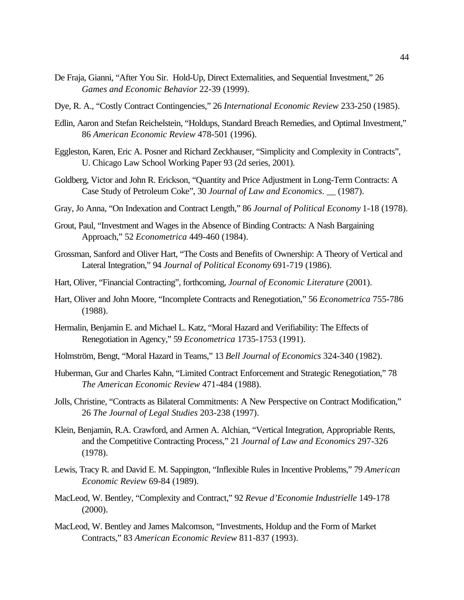- De Fraja, Gianni, "After You Sir. Hold-Up, Direct Externalities, and Sequential Investment," 26 *Games and Economic Behavior* 22-39 (1999).
- Dye, R. A., "Costly Contract Contingencies," 26 *International Economic Review* 233-250 (1985).
- Edlin, Aaron and Stefan Reichelstein, "Holdups, Standard Breach Remedies, and Optimal Investment," 86 *American Economic Review* 478-501 (1996).
- Eggleston, Karen, Eric A. Posner and Richard Zeckhauser, "Simplicity and Complexity in Contracts", U. Chicago Law School Working Paper 93 (2d series, 2001).
- Goldberg, Victor and John R. Erickson, "Quantity and Price Adjustment in Long-Term Contracts: A Case Study of Petroleum Coke", 30 *Journal of Law and Economics*. \_\_ (1987).
- Gray, Jo Anna, "On Indexation and Contract Length," 86 *Journal of Political Economy* 1-18 (1978).
- Grout, Paul, "Investment and Wages in the Absence of Binding Contracts: A Nash Bargaining Approach," 52 *Econometrica* 449-460 (1984).
- Grossman, Sanford and Oliver Hart, "The Costs and Benefits of Ownership: A Theory of Vertical and Lateral Integration," 94 *Journal of Political Economy* 691-719 (1986).
- Hart, Oliver, "Financial Contracting", forthcoming, *Journal of Economic Literature* (2001).
- Hart, Oliver and John Moore, "Incomplete Contracts and Renegotiation," 56 *Econometrica* 755-786 (1988).
- Hermalin, Benjamin E. and Michael L. Katz, "Moral Hazard and Verifiability: The Effects of Renegotiation in Agency," 59 *Econometrica* 1735-1753 (1991).
- Holmström, Bengt, "Moral Hazard in Teams," 13 *Bell Journal of Economics* 324-340 (1982).
- Huberman, Gur and Charles Kahn, "Limited Contract Enforcement and Strategic Renegotiation," 78 *The American Economic Review* 471-484 (1988).
- Jolls, Christine, "Contracts as Bilateral Commitments: A New Perspective on Contract Modification," 26 *The Journal of Legal Studies* 203-238 (1997).
- Klein, Benjamin, R.A. Crawford, and Armen A. Alchian, "Vertical Integration, Appropriable Rents, and the Competitive Contracting Process," 21 *Journal of Law and Economics* 297-326 (1978).
- Lewis, Tracy R. and David E. M. Sappington, "Inflexible Rules in Incentive Problems," 79 *American Economic Review* 69-84 (1989).
- MacLeod, W. Bentley, "Complexity and Contract," 92 *Revue d'Economie Industrielle* 149-178 (2000).
- MacLeod, W. Bentley and James Malcomson, "Investments, Holdup and the Form of Market Contracts," 83 *American Economic Review* 811-837 (1993).